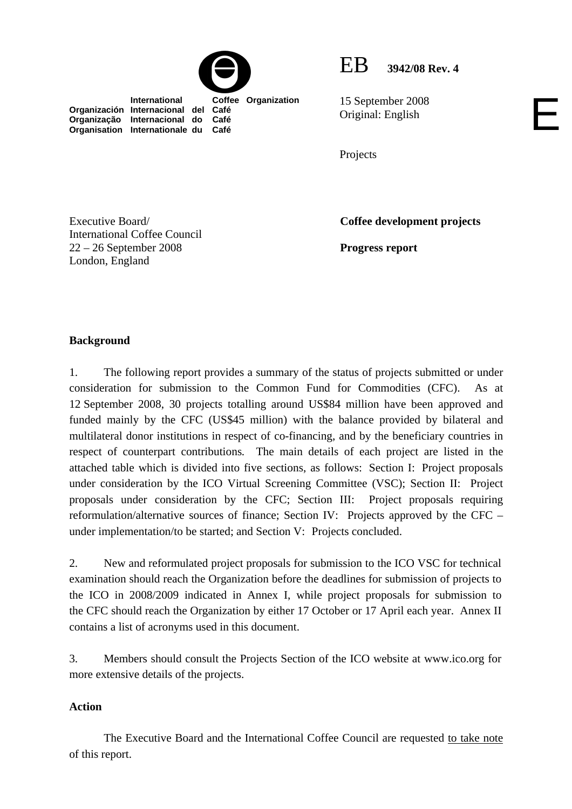

 **International Coffee Organization** 

EB **3942/08 Rev. 4**

E

15 September 2008 Original: English

Projects

Executive Board/ International Coffee Council 22 – 26 September 2008 London, England

**Organización Internacional del Café Organização Internacional do Café Organisation Internationale du Café**

**Coffee development projects** 

**Progress report** 

## **Background**

1. The following report provides a summary of the status of projects submitted or under consideration for submission to the Common Fund for Commodities (CFC). As at 12 September 2008, 30 projects totalling around US\$84 million have been approved and funded mainly by the CFC (US\$45 million) with the balance provided by bilateral and multilateral donor institutions in respect of co-financing, and by the beneficiary countries in respect of counterpart contributions*.* The main details of each project are listed in the attached table which is divided into five sections, as follows: Section I: Project proposals under consideration by the ICO Virtual Screening Committee (VSC); Section II: Project proposals under consideration by the CFC; Section III: Project proposals requiring reformulation/alternative sources of finance; Section IV: Projects approved by the CFC – under implementation/to be started; and Section V: Projects concluded.

2. New and reformulated project proposals for submission to the ICO VSC for technical examination should reach the Organization before the deadlines for submission of projects to the ICO in 2008/2009 indicated in Annex I, while project proposals for submission to the CFC should reach the Organization by either 17 October or 17 April each year. Annex II contains a list of acronyms used in this document.

3. Members should consult the Projects Section of the ICO website at www.ico.org for more extensive details of the projects.

### **Action**

The Executive Board and the International Coffee Council are requested to take note of this report.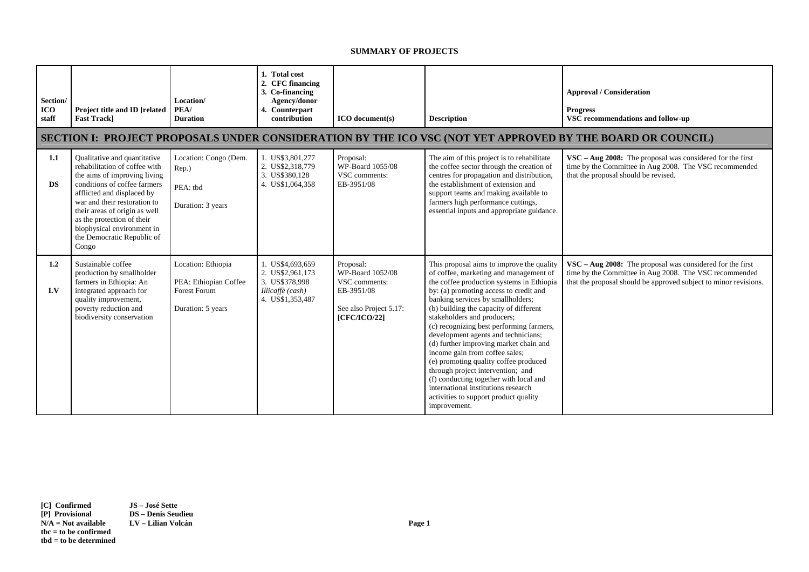#### **SUMMARY OF PROJECTS**

| Section/<br><b>ICO</b><br>staff | Project title and ID [related<br><b>Fast Track]</b>                                                                                                                                                                                                                                                                             | Location/<br>PEA/<br><b>Duration</b>                                             | 1. Total cost<br>2. CFC financing<br>3. Co-financing<br>Agency/donor<br>4. Counterpart<br>contribution | <b>ICO</b> document(s)                                                                                 | <b>Description</b>                                                                                                                                                                                                                                                                                                                                                                                                                                                                                                                                                                                                                                                              | <b>Approval / Consideration</b><br><b>Progress</b><br>VSC recommendations and follow-up                                                                                                    |  |  |  |
|---------------------------------|---------------------------------------------------------------------------------------------------------------------------------------------------------------------------------------------------------------------------------------------------------------------------------------------------------------------------------|----------------------------------------------------------------------------------|--------------------------------------------------------------------------------------------------------|--------------------------------------------------------------------------------------------------------|---------------------------------------------------------------------------------------------------------------------------------------------------------------------------------------------------------------------------------------------------------------------------------------------------------------------------------------------------------------------------------------------------------------------------------------------------------------------------------------------------------------------------------------------------------------------------------------------------------------------------------------------------------------------------------|--------------------------------------------------------------------------------------------------------------------------------------------------------------------------------------------|--|--|--|
|                                 | SECTION I: PROJECT PROPOSALS UNDER CONSIDERATION BY THE ICO VSC (NOT YET APPROVED BY THE BOARD OR COUNCIL)                                                                                                                                                                                                                      |                                                                                  |                                                                                                        |                                                                                                        |                                                                                                                                                                                                                                                                                                                                                                                                                                                                                                                                                                                                                                                                                 |                                                                                                                                                                                            |  |  |  |
| 1.1<br><b>DS</b>                | Qualitative and quantitative<br>rehabilitation of coffee with<br>the aims of improving living<br>conditions of coffee farmers<br>afflicted and displaced by<br>war and their restoration to<br>their areas of origin as well<br>as the protection of their<br>biophysical environment in<br>the Democratic Republic of<br>Congo | Location: Congo (Dem.<br>Rep.)<br>PEA: tbd<br>Duration: 3 years                  | 1. US\$3,801,277<br>2. US\$2,318,779<br>3. US\$380,128<br>4. US\$1,064,358                             | Proposal:<br>WP-Board 1055/08<br>VSC comments:<br>EB-3951/08                                           | The aim of this project is to rehabilitate<br>the coffee sector through the creation of<br>centres for propagation and distribution,<br>the establishment of extension and<br>support teams and making available to<br>farmers high performance cuttings,<br>essential inputs and appropriate guidance.                                                                                                                                                                                                                                                                                                                                                                         | $VSC - Aug 2008$ : The proposal was considered for the first<br>time by the Committee in Aug 2008. The VSC recommended<br>that the proposal should be revised.                             |  |  |  |
| 1.2<br>$L$ V                    | Sustainable coffee<br>production by smallholder<br>farmers in Ethiopia: An<br>integrated approach for<br>quality improvement,<br>poverty reduction and<br>biodiversity conservation                                                                                                                                             | Location: Ethiopia<br>PEA: Ethiopian Coffee<br>Forest Forum<br>Duration: 5 years | 1. US\$4,693,659<br>2. US\$2,961,173<br>3. US\$378,998<br>Illicaffè (cash)<br>4. US\$1,353,487         | Proposal:<br>WP-Board 1052/08<br>VSC comments:<br>EB-3951/08<br>See also Project 5.17:<br>[CFC/ICO/22] | This proposal aims to improve the quality<br>of coffee, marketing and management of<br>the coffee production systems in Ethiopia<br>by: (a) promoting access to credit and<br>banking services by smallholders;<br>(b) building the capacity of different<br>stakeholders and producers;<br>(c) recognizing best performing farmers,<br>development agents and technicians;<br>(d) further improving market chain and<br>income gain from coffee sales;<br>(e) promoting quality coffee produced<br>through project intervention; and<br>(f) conducting together with local and<br>international institutions research<br>activities to support product quality<br>improvement. | $VSC - Aug 2008$ : The proposal was considered for the first<br>time by the Committee in Aug 2008. The VSC recommended<br>that the proposal should be approved subject to minor revisions. |  |  |  |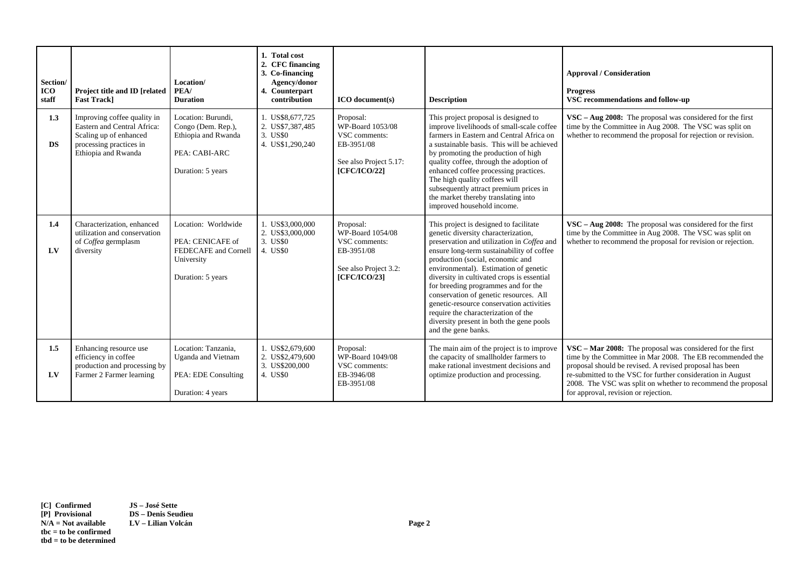| Section/<br><b>ICO</b><br>staff | Project title and ID [related<br><b>Fast Trackl</b>                                                                                    | Location/<br>PEA/<br><b>Duration</b>                                                                  | 1. Total cost<br>2. CFC financing<br>3. Co-financing<br>Agency/donor<br>4. Counterpart<br>contribution | $ICO$ document(s)                                                                                             | <b>Description</b>                                                                                                                                                                                                                                                                                                                                                                                                                                                                                                                         | <b>Approval / Consideration</b><br><b>Progress</b><br>VSC recommendations and follow-up                                                                                                                                                                                                                                                                  |
|---------------------------------|----------------------------------------------------------------------------------------------------------------------------------------|-------------------------------------------------------------------------------------------------------|--------------------------------------------------------------------------------------------------------|---------------------------------------------------------------------------------------------------------------|--------------------------------------------------------------------------------------------------------------------------------------------------------------------------------------------------------------------------------------------------------------------------------------------------------------------------------------------------------------------------------------------------------------------------------------------------------------------------------------------------------------------------------------------|----------------------------------------------------------------------------------------------------------------------------------------------------------------------------------------------------------------------------------------------------------------------------------------------------------------------------------------------------------|
| 1.3<br><b>DS</b>                | Improving coffee quality in<br>Eastern and Central Africa:<br>Scaling up of enhanced<br>processing practices in<br>Ethiopia and Rwanda | Location: Burundi,<br>Congo (Dem. Rep.),<br>Ethiopia and Rwanda<br>PEA: CABI-ARC<br>Duration: 5 years | 1. US\$8,677,725<br>2. US\$7,387,485<br>3. US\$0<br>4. US\$1,290,240                                   | Proposal:<br>WP-Board 1053/08<br>VSC comments:<br>EB-3951/08<br>See also Project 5.17:<br><b>[CFC/ICO/22]</b> | This project proposal is designed to<br>improve livelihoods of small-scale coffee<br>farmers in Eastern and Central Africa on<br>a sustainable basis. This will be achieved<br>by promoting the production of high<br>quality coffee, through the adoption of<br>enhanced coffee processing practices.<br>The high quality coffees will<br>subsequently attract premium prices in<br>the market thereby translating into<br>improved household income.                                                                                     | $VSC - Aug 2008$ : The proposal was considered for the first<br>time by the Committee in Aug 2008. The VSC was split on<br>whether to recommend the proposal for rejection or revision.                                                                                                                                                                  |
| 1.4<br>LV                       | Characterization, enhanced<br>utilization and conservation<br>of Coffea germplasm<br>diversity                                         | Location: Worldwide<br>PEA: CENICAFE of<br>FEDECAFE and Cornell<br>University<br>Duration: 5 years    | 1. US\$3,000,000<br>2. US\$3,000,000<br>3. US\$0<br>4. US\$0                                           | Proposal:<br>WP-Board 1054/08<br>VSC comments:<br>EB-3951/08<br>See also Project 3.2:<br><b>[CFC/ICO/23]</b>  | This project is designed to facilitate<br>genetic diversity characterization,<br>preservation and utilization in Coffea and<br>ensure long-term sustainability of coffee<br>production (social, economic and<br>environmental). Estimation of genetic<br>diversity in cultivated crops is essential<br>for breeding programmes and for the<br>conservation of genetic resources. All<br>genetic-resource conservation activities<br>require the characterization of the<br>diversity present in both the gene pools<br>and the gene banks. | $VSC - Aug 2008$ : The proposal was considered for the first<br>time by the Committee in Aug 2008. The VSC was split on<br>whether to recommend the proposal for revision or rejection.                                                                                                                                                                  |
| 1.5<br>LV                       | Enhancing resource use<br>efficiency in coffee<br>production and processing by<br>Farmer 2 Farmer learning                             | Location: Tanzania.<br><b>Uganda</b> and Vietnam<br>PEA: EDE Consulting<br>Duration: 4 years          | 1. US\$2,679,600<br>2. US\$2,479,600<br>3. US\$200,000<br>4. US\$0                                     | Proposal:<br>WP-Board 1049/08<br>VSC comments:<br>EB-3946/08<br>EB-3951/08                                    | The main aim of the project is to improve<br>the capacity of smallholder farmers to<br>make rational investment decisions and<br>optimize production and processing.                                                                                                                                                                                                                                                                                                                                                                       | VSC - Mar 2008: The proposal was considered for the first<br>time by the Committee in Mar 2008. The EB recommended the<br>proposal should be revised. A revised proposal has been<br>re-submitted to the VSC for further consideration in August<br>2008. The VSC was split on whether to recommend the proposal<br>for approval, revision or rejection. |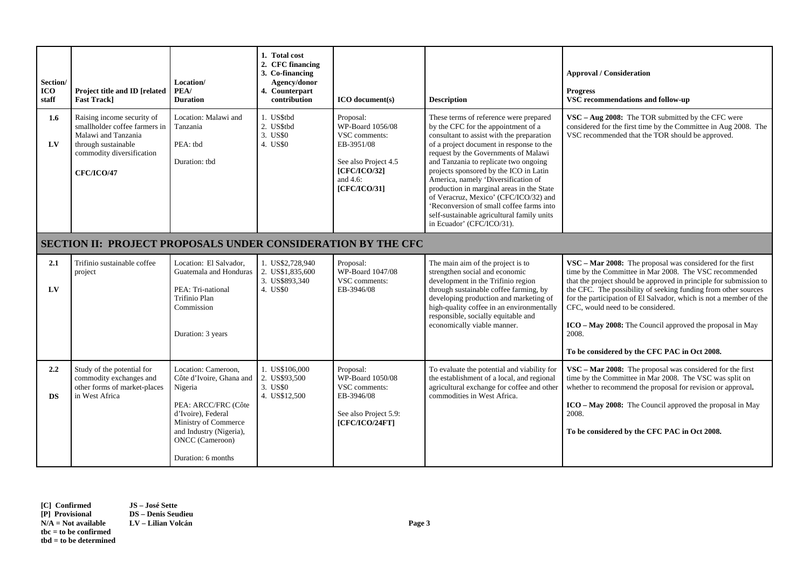| Section/<br><b>ICO</b><br>staff | Project title and ID [related<br><b>Fast Track]</b>                                                                                                         | Location/<br>PEA/<br><b>Duration</b>                                                                                                                                                                       | 1. Total cost<br>2. CFC financing<br>3. Co-financing<br>Agency/donor<br>4. Counterpart<br>contribution | <b>ICO</b> document(s)                                                                                                                     | <b>Description</b>                                                                                                                                                                                                                                                                                                                                                                                                                                                                                                                                    | <b>Approval / Consideration</b><br><b>Progress</b><br>VSC recommendations and follow-up                                                                                                                                                                                                                                                                                                                                                                                                     |  |  |
|---------------------------------|-------------------------------------------------------------------------------------------------------------------------------------------------------------|------------------------------------------------------------------------------------------------------------------------------------------------------------------------------------------------------------|--------------------------------------------------------------------------------------------------------|--------------------------------------------------------------------------------------------------------------------------------------------|-------------------------------------------------------------------------------------------------------------------------------------------------------------------------------------------------------------------------------------------------------------------------------------------------------------------------------------------------------------------------------------------------------------------------------------------------------------------------------------------------------------------------------------------------------|---------------------------------------------------------------------------------------------------------------------------------------------------------------------------------------------------------------------------------------------------------------------------------------------------------------------------------------------------------------------------------------------------------------------------------------------------------------------------------------------|--|--|
| $1.6\phantom{0}$<br>LV          | Raising income security of<br>smallholder coffee farmers in<br>Malawi and Tanzania<br>through sustainable<br>commodity diversification<br><b>CFC/ICO/47</b> | Location: Malawi and<br>Tanzania<br>PEA: tbd<br>Duration: tbd                                                                                                                                              | 1. US\$tbd<br>2. US\$tbd<br>3. US\$0<br>4. US\$0                                                       | Proposal:<br>WP-Board 1056/08<br>VSC comments:<br>EB-3951/08<br>See also Project 4.5<br><b>[CFC/ICO/32]</b><br>and $4.6$ :<br>[CFC/ICO/31] | These terms of reference were prepared<br>by the CFC for the appointment of a<br>consultant to assist with the preparation<br>of a project document in response to the<br>request by the Governments of Malawi<br>and Tanzania to replicate two ongoing<br>projects sponsored by the ICO in Latin<br>America, namely 'Diversification of<br>production in marginal areas in the State<br>of Veracruz, Mexico' (CFC/ICO/32) and<br>'Reconversion of small coffee farms into<br>self-sustainable agricultural family units<br>in Ecuador' (CFC/ICO/31). | VSC - Aug 2008: The TOR submitted by the CFC were<br>considered for the first time by the Committee in Aug 2008. The<br>VSC recommended that the TOR should be approved.                                                                                                                                                                                                                                                                                                                    |  |  |
|                                 | <b>SECTION II: PROJECT PROPOSALS UNDER CONSIDERATION BY THE CFC</b>                                                                                         |                                                                                                                                                                                                            |                                                                                                        |                                                                                                                                            |                                                                                                                                                                                                                                                                                                                                                                                                                                                                                                                                                       |                                                                                                                                                                                                                                                                                                                                                                                                                                                                                             |  |  |
| 2.1<br>LV                       | Trifinio sustainable coffee<br>project                                                                                                                      | Location: El Salvador.<br>Guatemala and Honduras<br>PEA: Tri-national<br>Trifinio Plan<br>Commission<br>Duration: 3 years                                                                                  | 1. US\$2,728,940<br>2. US\$1,835,600<br>3. US\$893,340<br>4. US\$0                                     | Proposal:<br>WP-Board 1047/08<br>VSC comments:<br>EB-3946/08                                                                               | The main aim of the project is to<br>strengthen social and economic<br>development in the Trifinio region<br>through sustainable coffee farming, by<br>developing production and marketing of<br>high-quality coffee in an environmentally<br>responsible, socially equitable and<br>economically viable manner.                                                                                                                                                                                                                                      | VSC - Mar 2008: The proposal was considered for the first<br>time by the Committee in Mar 2008. The VSC recommended<br>that the project should be approved in principle for submission to<br>the CFC. The possibility of seeking funding from other sources<br>for the participation of El Salvador, which is not a member of the<br>CFC, would need to be considered.<br>ICO – May 2008: The Council approved the proposal in May<br>2008.<br>To be considered by the CFC PAC in Oct 2008. |  |  |
| 2.2<br><b>DS</b>                | Study of the potential for<br>commodity exchanges and<br>other forms of market-places<br>in West Africa                                                     | Location: Cameroon,<br>Côte d'Ivoire, Ghana and<br>Nigeria<br>PEA: ARCC/FRC (Côte<br>d'Ivoire), Federal<br>Ministry of Commerce<br>and Industry (Nigeria),<br><b>ONCC</b> (Cameroon)<br>Duration: 6 months | 1. US\$106,000<br>2. US\$93,500<br>3. US\$0<br>4. US\$12,500                                           | Proposal:<br>WP-Board 1050/08<br>VSC comments:<br>EB-3946/08<br>See also Project 5.9:<br>[CFC/ICO/24FT]                                    | To evaluate the potential and viability for<br>the establishment of a local, and regional<br>agricultural exchange for coffee and other<br>commodities in West Africa.                                                                                                                                                                                                                                                                                                                                                                                | VSC - Mar 2008: The proposal was considered for the first<br>time by the Committee in Mar 2008. The VSC was split on<br>whether to recommend the proposal for revision or approval.<br>ICO – May 2008: The Council approved the proposal in May<br>2008.<br>To be considered by the CFC PAC in Oct 2008.                                                                                                                                                                                    |  |  |

**[C] Confirmed JS – José Sette [P] Provisional DS – Denis Seudieu tbc = to be confirmed tbd = to be determined** 

**LV** – Lilian Volcán **Page 3**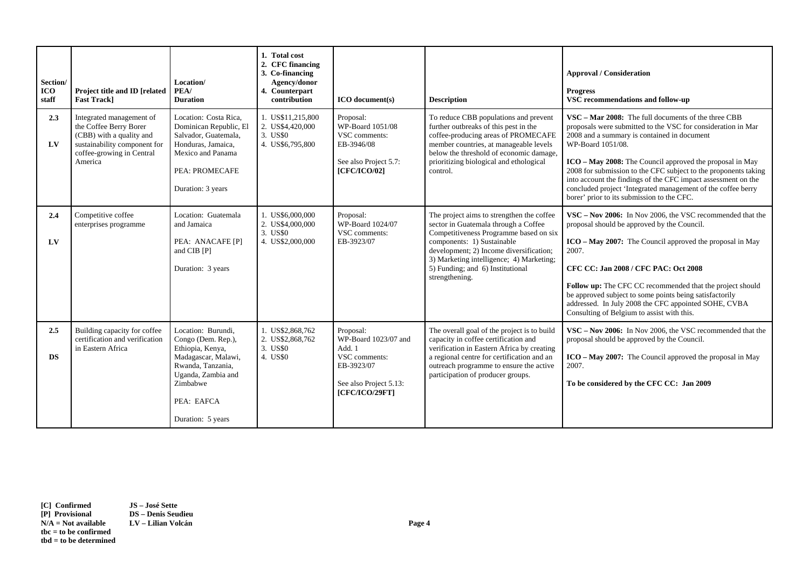| Section/<br><b>ICO</b><br>staff | Project title and ID [related<br><b>Fast Trackl</b>                                                                                                    | Location/<br>PEA/<br><b>Duration</b>                                                                                                                                          | 1. Total cost<br>2. CFC financing<br>3. Co-financing<br>Agency/donor<br>4. Counterpart<br>contribution | <b>ICO</b> document(s)                                                                                                 | <b>Description</b>                                                                                                                                                                                                                                                                                     | <b>Approval / Consideration</b><br><b>Progress</b><br>VSC recommendations and follow-up                                                                                                                                                                                                                                                                                                                                                                                                                             |
|---------------------------------|--------------------------------------------------------------------------------------------------------------------------------------------------------|-------------------------------------------------------------------------------------------------------------------------------------------------------------------------------|--------------------------------------------------------------------------------------------------------|------------------------------------------------------------------------------------------------------------------------|--------------------------------------------------------------------------------------------------------------------------------------------------------------------------------------------------------------------------------------------------------------------------------------------------------|---------------------------------------------------------------------------------------------------------------------------------------------------------------------------------------------------------------------------------------------------------------------------------------------------------------------------------------------------------------------------------------------------------------------------------------------------------------------------------------------------------------------|
| 2.3<br>LV                       | Integrated management of<br>the Coffee Berry Borer<br>(CBB) with a quality and<br>sustainability component for<br>coffee-growing in Central<br>America | Location: Costa Rica,<br>Dominican Republic, El<br>Salvador, Guatemala,<br>Honduras, Jamaica,<br>Mexico and Panama<br>PEA: PROMECAFE<br>Duration: 3 years                     | 1. US\$11,215,800<br>2. US\$4,420,000<br>3. US\$0<br>4. US\$6,795,800                                  | Proposal:<br>WP-Board 1051/08<br>VSC comments:<br>EB-3946/08<br>See also Project 5.7:<br>[CFC/ICO/02]                  | To reduce CBB populations and prevent<br>further outbreaks of this pest in the<br>coffee-producing areas of PROMECAFE<br>member countries, at manageable levels<br>below the threshold of economic damage,<br>prioritizing biological and ethological<br>control.                                      | VSC – Mar 2008: The full documents of the three CBB<br>proposals were submitted to the VSC for consideration in Mar<br>2008 and a summary is contained in document<br>WP-Board 1051/08.<br><b>ICO</b> – <b>May 2008:</b> The Council approved the proposal in May<br>2008 for submission to the CFC subject to the proponents taking<br>into account the findings of the CFC impact assessment on the<br>concluded project 'Integrated management of the coffee berry<br>borer' prior to its submission to the CFC. |
| 2.4<br>LV                       | Competitive coffee<br>enterprises programme                                                                                                            | Location: Guatemala<br>and Jamaica<br>PEA: ANACAFE [P]<br>and CIB [P]<br>Duration: 3 years                                                                                    | 1. US\$6,000,000<br>2. US\$4,000,000<br>3. US\$0<br>4. US\$2,000,000                                   | Proposal:<br>WP-Board 1024/07<br>VSC comments:<br>EB-3923/07                                                           | The project aims to strengthen the coffee<br>sector in Guatemala through a Coffee<br>Competitiveness Programme based on six<br>components: 1) Sustainable<br>development; 2) Income diversification;<br>3) Marketing intelligence; 4) Marketing;<br>5) Funding; and 6) Institutional<br>strengthening. | VSC – Nov 2006: In Nov 2006, the VSC recommended that the<br>proposal should be approved by the Council.<br>$ICO - May 2007$ : The Council approved the proposal in May<br>2007.<br>CFC CC: Jan 2008 / CFC PAC: Oct 2008<br>Follow up: The CFC CC recommended that the project should<br>be approved subject to some points being satisfactorily<br>addressed. In July 2008 the CFC appointed SOHE, CVBA<br>Consulting of Belgium to assist with this.                                                              |
| 2.5<br><b>DS</b>                | Building capacity for coffee<br>certification and verification<br>in Eastern Africa                                                                    | Location: Burundi,<br>Congo (Dem. Rep.),<br>Ethiopia, Kenya,<br>Madagascar, Malawi,<br>Rwanda, Tanzania,<br>Uganda, Zambia and<br>Zimbabwe<br>PEA: EAFCA<br>Duration: 5 years | 1. US\$2,868,762<br>2. US\$2,868,762<br>3. US\$0<br>4. US\$0                                           | Proposal:<br>WP-Board 1023/07 and<br>Add. 1<br>VSC comments:<br>EB-3923/07<br>See also Project 5.13:<br>[CFC/ICO/29FT] | The overall goal of the project is to build<br>capacity in coffee certification and<br>verification in Eastern Africa by creating<br>a regional centre for certification and an<br>outreach programme to ensure the active<br>participation of producer groups.                                        | VSC – Nov 2006: In Nov 2006, the VSC recommended that the<br>proposal should be approved by the Council.<br>$ICO - May 2007$ : The Council approved the proposal in May<br>2007.<br>To be considered by the CFC CC: Jan 2009                                                                                                                                                                                                                                                                                        |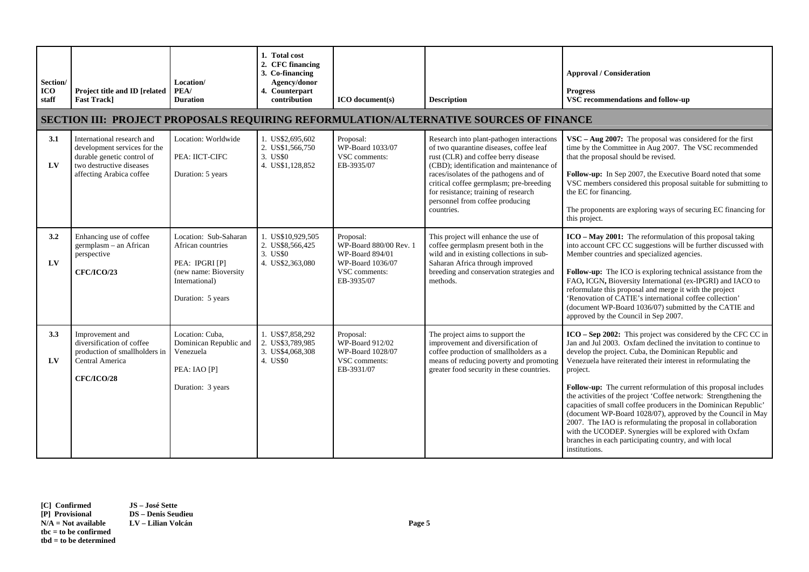| Section/<br>ICO<br>staff | Project title and ID [related<br><b>Fast Track]</b>                                                                                              | Location/<br>PEA/<br><b>Duration</b>                                                                                         | 1. Total cost<br>2. CFC financing<br>3. Co-financing<br>Agency/donor<br>4. Counterpart<br>contribution | <b>ICO</b> document(s)                                                                                    | <b>Description</b>                                                                                                                                                                                                                                                                                                                                    | <b>Approval / Consideration</b><br><b>Progress</b><br>VSC recommendations and follow-up                                                                                                                                                                                                                                                                                                                                                                                                                                                                                                                                                                                                                                                           |  |  |  |  |
|--------------------------|--------------------------------------------------------------------------------------------------------------------------------------------------|------------------------------------------------------------------------------------------------------------------------------|--------------------------------------------------------------------------------------------------------|-----------------------------------------------------------------------------------------------------------|-------------------------------------------------------------------------------------------------------------------------------------------------------------------------------------------------------------------------------------------------------------------------------------------------------------------------------------------------------|---------------------------------------------------------------------------------------------------------------------------------------------------------------------------------------------------------------------------------------------------------------------------------------------------------------------------------------------------------------------------------------------------------------------------------------------------------------------------------------------------------------------------------------------------------------------------------------------------------------------------------------------------------------------------------------------------------------------------------------------------|--|--|--|--|
|                          | <b>SECTION III: PROJECT PROPOSALS REQUIRING REFORMULATION/ALTERNATIVE SOURCES OF FINANCE</b>                                                     |                                                                                                                              |                                                                                                        |                                                                                                           |                                                                                                                                                                                                                                                                                                                                                       |                                                                                                                                                                                                                                                                                                                                                                                                                                                                                                                                                                                                                                                                                                                                                   |  |  |  |  |
| 3.1<br>$L$ V             | International research and<br>development services for the<br>durable genetic control of<br>two destructive diseases<br>affecting Arabica coffee | Location: Worldwide<br>PEA: IICT-CIFC<br>Duration: 5 years                                                                   | 1. US\$2,695,602<br>2. US\$1,566,750<br>3. US\$0<br>4. US\$1,128,852                                   | Proposal:<br>WP-Board 1033/07<br>VSC comments:<br>EB-3935/07                                              | Research into plant-pathogen interactions<br>of two quarantine diseases, coffee leaf<br>rust (CLR) and coffee berry disease<br>(CBD); identification and maintenance of<br>races/isolates of the pathogens and of<br>critical coffee germplasm; pre-breeding<br>for resistance; training of research<br>personnel from coffee producing<br>countries. | $VSC - Aug 2007$ : The proposal was considered for the first<br>time by the Committee in Aug 2007. The VSC recommended<br>that the proposal should be revised.<br>Follow-up: In Sep 2007, the Executive Board noted that some<br>VSC members considered this proposal suitable for submitting to<br>the EC for financing.<br>The proponents are exploring ways of securing EC financing for<br>this project.                                                                                                                                                                                                                                                                                                                                      |  |  |  |  |
| 3.2<br>LV                | Enhancing use of coffee<br>germplasm - an African<br>perspective<br><b>CFC/ICO/23</b>                                                            | Location: Sub-Saharan<br>African countries<br>PEA: IPGRI [P]<br>(new name: Bioversity<br>International)<br>Duration: 5 years | 1. US\$10,929,505<br>2. US\$8,566,425<br>3. US\$0<br>4. US\$2,363,080                                  | Proposal:<br>WP-Board 880/00 Rev. 1<br>WP-Board 894/01<br>WP-Board 1036/07<br>VSC comments:<br>EB-3935/07 | This project will enhance the use of<br>coffee germplasm present both in the<br>wild and in existing collections in sub-<br>Saharan Africa through improved<br>breeding and conservation strategies and<br>methods.                                                                                                                                   | ICO - May 2001: The reformulation of this proposal taking<br>into account CFC CC suggestions will be further discussed with<br>Member countries and specialized agencies.<br>Follow-up: The ICO is exploring technical assistance from the<br>FAO, ICGN, Bioversity International (ex-IPGRI) and IACO to<br>reformulate this proposal and merge it with the project<br>'Renovation of CATIE's international coffee collection'<br>(document WP-Board 1036/07) submitted by the CATIE and<br>approved by the Council in Sep 2007.                                                                                                                                                                                                                  |  |  |  |  |
| 3.3<br>$L$ V             | Improvement and<br>diversification of coffee<br>production of smallholders in<br>Central America<br>CFC/ICO/28                                   | Location: Cuba,<br>Dominican Republic and<br>Venezuela<br>PEA: IAO [P]<br>Duration: 3 years                                  | 1. US\$7,858,292<br>2. US\$3,789,985<br>3. US\$4,068,308<br>4. US\$0                                   | Proposal:<br>WP-Board 912/02<br>WP-Board 1028/07<br>VSC comments:<br>EB-3931/07                           | The project aims to support the<br>improvement and diversification of<br>coffee production of smallholders as a<br>means of reducing poverty and promoting<br>greater food security in these countries.                                                                                                                                               | ICO - Sep 2002: This project was considered by the CFC CC in<br>Jan and Jul 2003. Oxfam declined the invitation to continue to<br>develop the project. Cuba, the Dominican Republic and<br>Venezuela have reiterated their interest in reformulating the<br>project.<br>Follow-up: The current reformulation of this proposal includes<br>the activities of the project 'Coffee network: Strengthening the<br>capacities of small coffee producers in the Dominican Republic'<br>(document WP-Board 1028/07), approved by the Council in May<br>2007. The IAO is reformulating the proposal in collaboration<br>with the UCODEP. Synergies will be explored with Oxfam<br>branches in each participating country, and with local<br>institutions. |  |  |  |  |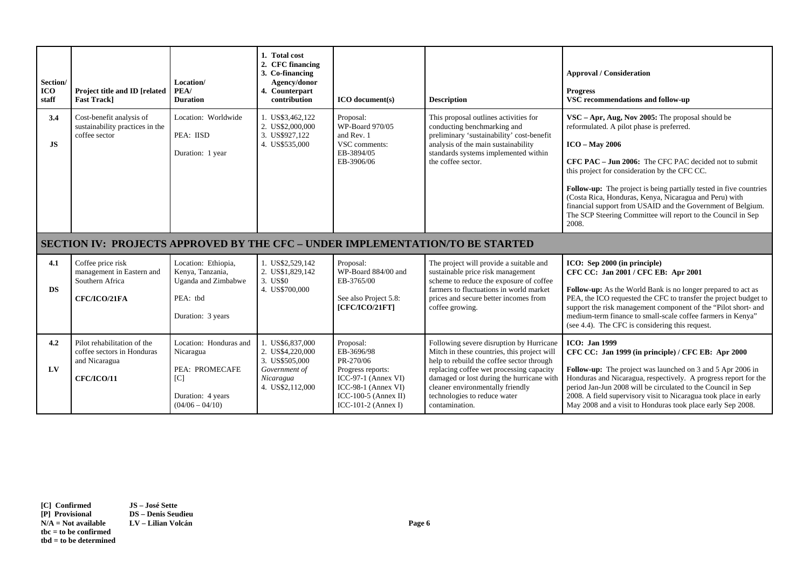| Section/<br><b>ICO</b><br>staff                                               | Project title and ID [related<br><b>Fast Trackl</b>                               | Location/<br>PEA/<br><b>Duration</b>                                                            | 1. Total cost<br>2. CFC financing<br>3. Co-financing<br>Agency/donor<br>4. Counterpart<br>contribution | <b>ICO</b> document(s)                                                                    | <b>Description</b>                                                                                                                                                                                                             | <b>Approval / Consideration</b><br><b>Progress</b><br>VSC recommendations and follow-up                                                                                                                                                                                                                                                                                                                                                                                                                       |  |
|-------------------------------------------------------------------------------|-----------------------------------------------------------------------------------|-------------------------------------------------------------------------------------------------|--------------------------------------------------------------------------------------------------------|-------------------------------------------------------------------------------------------|--------------------------------------------------------------------------------------------------------------------------------------------------------------------------------------------------------------------------------|---------------------------------------------------------------------------------------------------------------------------------------------------------------------------------------------------------------------------------------------------------------------------------------------------------------------------------------------------------------------------------------------------------------------------------------------------------------------------------------------------------------|--|
| 3.4<br><b>JS</b>                                                              | Cost-benefit analysis of<br>sustainability practices in the<br>coffee sector      | Location: Worldwide<br>PEA: IISD<br>Duration: 1 year                                            | 1. US\$3,462,122<br>2. US\$2,000,000<br>3. US\$927.122<br>4. US\$535,000                               | Proposal:<br>WP-Board 970/05<br>and Rev. 1<br>VSC comments:<br>EB-3894/05<br>EB-3906/06   | This proposal outlines activities for<br>conducting benchmarking and<br>preliminary 'sustainability' cost-benefit<br>analysis of the main sustainability<br>standards systems implemented within<br>the coffee sector.         | $VSC - Apr$ , Aug, Nov 2005: The proposal should be<br>reformulated. A pilot phase is preferred.<br>$ICO - May 2006$<br><b>CFC PAC – Jun 2006:</b> The CFC PAC decided not to submit<br>this project for consideration by the CFC CC.<br>Follow-up: The project is being partially tested in five countries<br>(Costa Rica, Honduras, Kenya, Nicaragua and Peru) with<br>financial support from USAID and the Government of Belgium.<br>The SCP Steering Committee will report to the Council in Sep<br>2008. |  |
| SECTION IV: PROJECTS APPROVED BY THE CFC - UNDER IMPLEMENTATION/TO BE STARTED |                                                                                   |                                                                                                 |                                                                                                        |                                                                                           |                                                                                                                                                                                                                                |                                                                                                                                                                                                                                                                                                                                                                                                                                                                                                               |  |
|                                                                               |                                                                                   |                                                                                                 |                                                                                                        |                                                                                           |                                                                                                                                                                                                                                |                                                                                                                                                                                                                                                                                                                                                                                                                                                                                                               |  |
| 4.1<br><b>DS</b>                                                              | Coffee price risk<br>management in Eastern and<br>Southern Africa<br>CFC/ICO/21FA | Location: Ethiopia,<br>Kenya, Tanzania,<br>Uganda and Zimbabwe<br>PEA: tbd<br>Duration: 3 years | 1. US\$2,529,142<br>2. US\$1,829,142<br>3. US\$0<br>4. US\$700,000                                     | Proposal:<br>WP-Board 884/00 and<br>EB-3765/00<br>See also Project 5.8:<br>[CFC/ICO/21FT] | The project will provide a suitable and<br>sustainable price risk management<br>scheme to reduce the exposure of coffee<br>farmers to fluctuations in world market<br>prices and secure better incomes from<br>coffee growing. | ICO: Sep 2000 (in principle)<br>CFC CC: Jan 2001 / CFC EB: Apr 2001<br>Follow-up: As the World Bank is no longer prepared to act as<br>PEA, the ICO requested the CFC to transfer the project budget to<br>support the risk management component of the "Pilot short- and<br>medium-term finance to small-scale coffee farmers in Kenya"<br>(see 4.4). The CFC is considering this request.                                                                                                                   |  |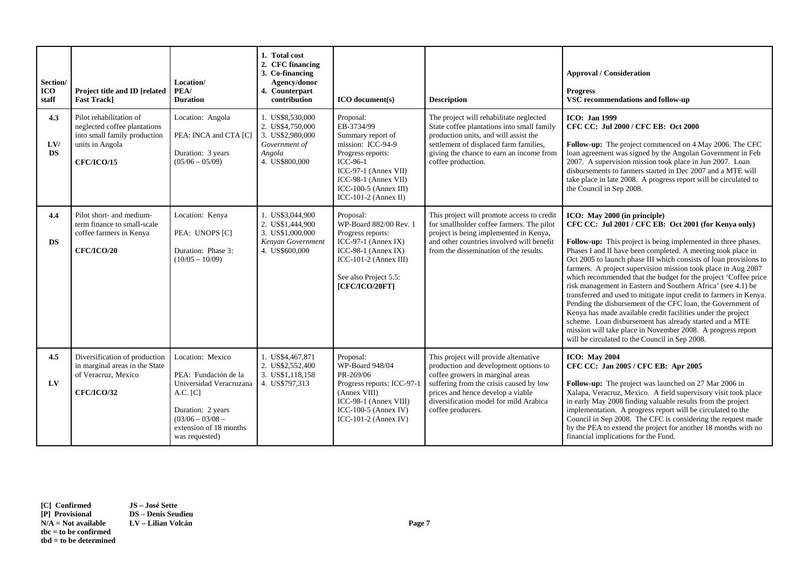| Section/<br><b>ICO</b><br>staff | Project title and ID [related<br><b>Fast Trackl</b>                                                                             | Location/<br>PEA/<br><b>Duration</b>                                                                                                                                     | 1. Total cost<br>2. CFC financing<br>3. Co-financing<br>Agency/donor<br>4. Counterpart<br>contribution | $ICO$ document(s)                                                                                                                                                                                       | <b>Description</b>                                                                                                                                                                                                                                                | <b>Approval / Consideration</b><br><b>Progress</b><br>VSC recommendations and follow-up                                                                                                                                                                                                                                                                                                                                                                                                                                                                                                                                                                                                                                                                                                                                                                                         |
|---------------------------------|---------------------------------------------------------------------------------------------------------------------------------|--------------------------------------------------------------------------------------------------------------------------------------------------------------------------|--------------------------------------------------------------------------------------------------------|---------------------------------------------------------------------------------------------------------------------------------------------------------------------------------------------------------|-------------------------------------------------------------------------------------------------------------------------------------------------------------------------------------------------------------------------------------------------------------------|---------------------------------------------------------------------------------------------------------------------------------------------------------------------------------------------------------------------------------------------------------------------------------------------------------------------------------------------------------------------------------------------------------------------------------------------------------------------------------------------------------------------------------------------------------------------------------------------------------------------------------------------------------------------------------------------------------------------------------------------------------------------------------------------------------------------------------------------------------------------------------|
| 4.3<br>LVI<br><b>DS</b>         | Pilot rehabilitation of<br>neglected coffee plantations<br>into small family production<br>units in Angola<br><b>CFC/ICO/15</b> | Location: Angola<br>PEA: INCA and CTA [C]<br>Duration: 3 years<br>$(05/06 - 05/09)$                                                                                      | 1. US\$8,530,000<br>2. US\$4,750,000<br>3. US\$2,980,000<br>Government of<br>Angola<br>4. US\$800,000  | Proposal:<br>EB-3734/99<br>Summary report of<br>mission: ICC-94-9<br>Progress reports:<br>ICC-96-1<br>$ICC-97-1$ (Annex VII)<br>$ICC-98-1$ (Annex VII)<br>ICC-100-5 (Annex III)<br>ICC-101-2 (Annex II) | The project will rehabilitate neglected<br>State coffee plantations into small family<br>production units, and will assist the<br>settlement of displaced farm families,<br>giving the chance to earn an income from<br>coffee production.                        | <b>ICO</b> : Jan 1999<br>CFC CC: Jul 2000 / CFC EB: Oct 2000<br>Follow-up: The project commenced on 4 May 2006. The CFC<br>loan agreement was signed by the Angolan Government in Feb<br>2007. A supervision mission took place in Jun 2007. Loan<br>disbursements to farmers started in Dec 2007 and a MTE will<br>take place in late 2008. A progress report will be circulated to<br>the Council in Sep 2008.                                                                                                                                                                                                                                                                                                                                                                                                                                                                |
| 4.4<br><b>DS</b>                | Pilot short- and medium-<br>term finance to small-scale<br>coffee farmers in Kenya<br><b>CFC/ICO/20</b>                         | Location: Kenya<br>PEA: UNOPS [C]<br>Duration: Phase 3:<br>$(10/05 - 10/09)$                                                                                             | 1. US\$3,044,900<br>2. US\$1,444,900<br>3. US\$1,000,000<br>Kenyan Government<br>4. US\$600,000        | Proposal:<br>WP-Board 882/00 Rev. 1<br>Progress reports:<br>ICC-97-1 (Annex IX)<br>ICC-98-1 (Annex IX)<br>ICC-101-2 (Annex III)<br>See also Project 5.5:<br>[CFC/ICO/20FT]                              | This project will promote access to credit<br>for smallholder coffee farmers. The pilot<br>project is being implemented in Kenya,<br>and other countries involved will benefit<br>from the dissemination of the results.                                          | ICO: May 2000 (in principle)<br>CFC CC: Jul 2001 / CFC EB: Oct 2001 (for Kenya only)<br>Follow-up: This project is being implemented in three phases.<br>Phases I and II have been completed. A meeting took place in<br>Oct 2005 to launch phase III which consists of loan provisions to<br>farmers. A project supervision mission took place in Aug 2007<br>which recommended that the budget for the project 'Coffee price<br>risk management in Eastern and Southern Africa' (see 4.1) be<br>transferred and used to mitigate input credit to farmers in Kenya.<br>Pending the disbursement of the CFC loan, the Government of<br>Kenya has made available credit facilities under the project<br>scheme. Loan disbursement has already started and a MTE<br>mission will take place in November 2008. A progress report<br>will be circulated to the Council in Sep 2008. |
| 4.5<br>LV                       | Diversification of production<br>in marginal areas in the State<br>of Veracruz, Mexico<br><b>CFC/ICO/32</b>                     | Location: Mexico<br>PEA: Fundación de la<br>Universidad Veracruzana<br>$A.C.$ [C]<br>Duration: 2 years<br>$(03/06 - 03/08 -$<br>extension of 18 months<br>was requested) | 1. US\$4,467,871<br>2. US\$2,552,400<br>3. US\$1,118,158<br>4. US\$797,313                             | Proposal:<br>WP-Board 948/04<br>PR-269/06<br>Progress reports: ICC-97-1<br>(Annex VIII)<br>ICC-98-1 (Annex VIII)<br>ICC-100-5 (Annex IV)<br>ICC-101-2 (Annex IV)                                        | This project will provide alternative<br>production and development options to<br>coffee growers in marginal areas<br>suffering from the crisis caused by low<br>prices and hence develop a viable<br>diversification model for mild Arabica<br>coffee producers. | <b>ICO: May 2004</b><br>CFC CC: Jan 2005 / CFC EB: Apr 2005<br>Follow-up: The project was launched on 27 Mar 2006 in<br>Xalapa, Veracruz, Mexico. A field supervisory visit took place<br>in early May 2008 finding valuable results from the project<br>implementation. A progress report will be circulated to the<br>Council in Sep 2008. The CFC is considering the request made<br>by the PEA to extend the project for another 18 months with no<br>financial implications for the Fund.                                                                                                                                                                                                                                                                                                                                                                                  |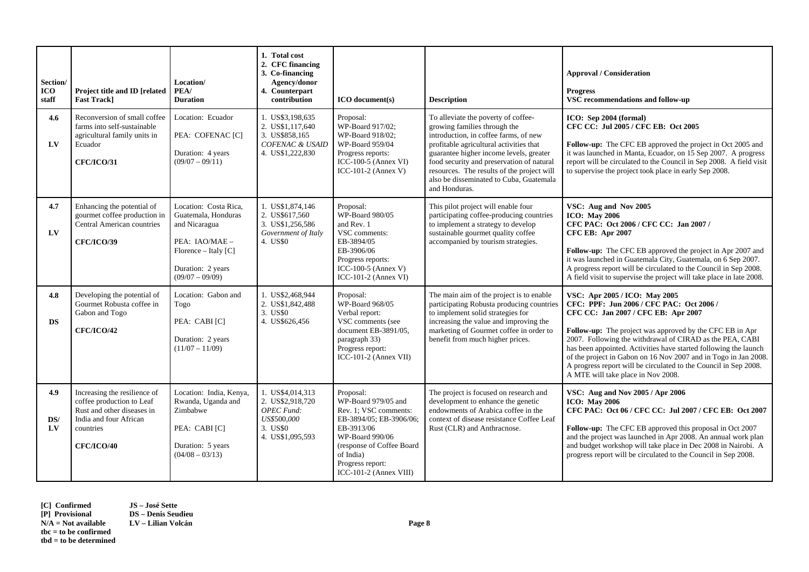| Section/<br><b>ICO</b><br>staff | Project title and ID [related<br><b>Fast Track]</b>                                                                                                 | Location/<br>PEA/<br><b>Duration</b>                                                                                                                | 1. Total cost<br>2. CFC financing<br>3. Co-financing<br>Agency/donor<br>4. Counterpart<br>contribution   | <b>ICO</b> document(s)                                                                                                                                                                                        | <b>Description</b>                                                                                                                                                                                                                                                                                                                                        | <b>Approval / Consideration</b><br><b>Progress</b><br>VSC recommendations and follow-up                                                                                                                                                                                                                                                                                                                                                                                                          |
|---------------------------------|-----------------------------------------------------------------------------------------------------------------------------------------------------|-----------------------------------------------------------------------------------------------------------------------------------------------------|----------------------------------------------------------------------------------------------------------|---------------------------------------------------------------------------------------------------------------------------------------------------------------------------------------------------------------|-----------------------------------------------------------------------------------------------------------------------------------------------------------------------------------------------------------------------------------------------------------------------------------------------------------------------------------------------------------|--------------------------------------------------------------------------------------------------------------------------------------------------------------------------------------------------------------------------------------------------------------------------------------------------------------------------------------------------------------------------------------------------------------------------------------------------------------------------------------------------|
| 4.6<br>$L$ V                    | Reconversion of small coffee<br>farms into self-sustainable<br>agricultural family units in<br>Ecuador<br><b>CFC/ICO/31</b>                         | Location: Ecuador<br>PEA: COFENAC [C]<br>Duration: 4 years<br>$(09/07 - 09/11)$                                                                     | 1. US\$3,198,635<br>2. US\$1,117,640<br>3. US\$858,165<br><b>COFENAC &amp; USAID</b><br>4. US\$1,222,830 | Proposal:<br>WP-Board 917/02;<br>WP-Board 918/02:<br>WP-Board 959/04<br>Progress reports:<br>ICC-100-5 (Annex VI)<br>ICC-101-2 (Annex V)                                                                      | To alleviate the poverty of coffee-<br>growing families through the<br>introduction, in coffee farms, of new<br>profitable agricultural activities that<br>guarantee higher income levels, greater<br>food security and preservation of natural<br>resources. The results of the project will<br>also be disseminated to Cuba, Guatemala<br>and Honduras. | ICO: Sep 2004 (formal)<br>CFC CC: Jul 2005 / CFC EB: Oct 2005<br>Follow-up: The CFC EB approved the project in Oct 2005 and<br>it was launched in Manta, Ecuador, on 15 Sep 2007. A progress<br>report will be circulated to the Council in Sep 2008. A field visit<br>to supervise the project took place in early Sep 2008.                                                                                                                                                                    |
| 4.7<br>LV                       | Enhancing the potential of<br>gourmet coffee production in<br>Central American countries<br><b>CFC/ICO/39</b>                                       | Location: Costa Rica.<br>Guatemala, Honduras<br>and Nicaragua<br>PEA: IAO/MAE -<br>Florence – Italy $[C]$<br>Duration: 2 years<br>$(09/07 - 09/09)$ | 1. US\$1,874,146<br>2. US\$617,560<br>3. US\$1,256,586<br>Government of Italy<br>4. US\$0                | Proposal:<br>WP-Board 980/05<br>and Rev. 1<br>VSC comments:<br>EB-3894/05<br>EB-3906/06<br>Progress reports:<br>ICC-100-5 (Annex V)<br>ICC-101-2 (Annex VI)                                                   | This pilot project will enable four<br>participating coffee-producing countries<br>to implement a strategy to develop<br>sustainable gourmet quality coffee<br>accompanied by tourism strategies.                                                                                                                                                         | VSC: Aug and Nov 2005<br><b>ICO: May 2006</b><br>CFC PAC: Oct 2006 / CFC CC: Jan 2007 /<br><b>CFC EB:</b> Apr 2007<br>Follow-up: The CFC EB approved the project in Apr 2007 and<br>it was launched in Guatemala City, Guatemala, on 6 Sep 2007.<br>A progress report will be circulated to the Council in Sep 2008.<br>A field visit to supervise the project will take place in late 2008.                                                                                                     |
| 4.8<br><b>DS</b>                | Developing the potential of<br>Gourmet Robusta coffee in<br>Gabon and Togo<br><b>CFC/ICO/42</b>                                                     | Location: Gabon and<br>Togo<br>PEA: CABI [C]<br>Duration: 2 years<br>$(11/07 - 11/09)$                                                              | 1. US\$2,468,944<br>2. US\$1,842,488<br>3. US\$0<br>4. US\$626,456                                       | Proposal:<br>WP-Board 968/05<br>Verbal report:<br>VSC comments (see<br>document EB-3891/05,<br>paragraph 33)<br>Progress report:<br>ICC-101-2 (Annex VII)                                                     | The main aim of the project is to enable<br>participating Robusta producing countries<br>to implement solid strategies for<br>increasing the value and improving the<br>marketing of Gourmet coffee in order to<br>benefit from much higher prices.                                                                                                       | VSC: Apr 2005 / ICO: May 2005<br>CFC: PPF: Jun 2006 / CFC PAC: Oct 2006 /<br>CFC CC: Jan 2007 / CFC EB: Apr 2007<br><b>Follow-up:</b> The project was approved by the CFC EB in Apr<br>2007. Following the withdrawal of CIRAD as the PEA, CABI<br>has been appointed. Activities have started following the launch<br>of the project in Gabon on 16 Nov 2007 and in Togo in Jan 2008.<br>A progress report will be circulated to the Council in Sep 2008.<br>A MTE will take place in Nov 2008. |
| 4.9<br>DS/<br>LV                | Increasing the resilience of<br>coffee production to Leaf<br>Rust and other diseases in<br>India and four African<br>countries<br><b>CFC/ICO/40</b> | Location: India, Kenya,<br>Rwanda, Uganda and<br>Zimbabwe<br>PEA: CABI [C]<br>Duration: 5 years<br>$(04/08 - 03/13)$                                | 1. US\$4,014,313<br>2. US\$2,918,720<br><b>OPEC</b> Fund:<br>US\$500,000<br>3. US\$0<br>4. US\$1,095,593 | Proposal:<br>WP-Board 979/05 and<br>Rev. 1; VSC comments:<br>EB-3894/05; EB-3906/06;<br>EB-3913/06<br>WP-Board 990/06<br>(response of Coffee Board<br>of India)<br>Progress report:<br>ICC-101-2 (Annex VIII) | The project is focused on research and<br>development to enhance the genetic<br>endowments of Arabica coffee in the<br>context of disease resistance Coffee Leaf<br>Rust (CLR) and Anthracnose.                                                                                                                                                           | VSC: Aug and Nov 2005 / Apr 2006<br><b>ICO: May 2006</b><br>CFC PAC: Oct 06 / CFC CC: Jul 2007 / CFC EB: Oct 2007<br>Follow-up: The CFC EB approved this proposal in Oct 2007<br>and the project was launched in Apr 2008. An annual work plan<br>and budget workshop will take place in Dec 2008 in Nairobi. A<br>progress report will be circulated to the Council in Sep 2008.                                                                                                                |

**[C] Confirmed JS – José Sette [P] Provisional DS – Denis Seudieu tbc = to be confirmed tbd = to be determined**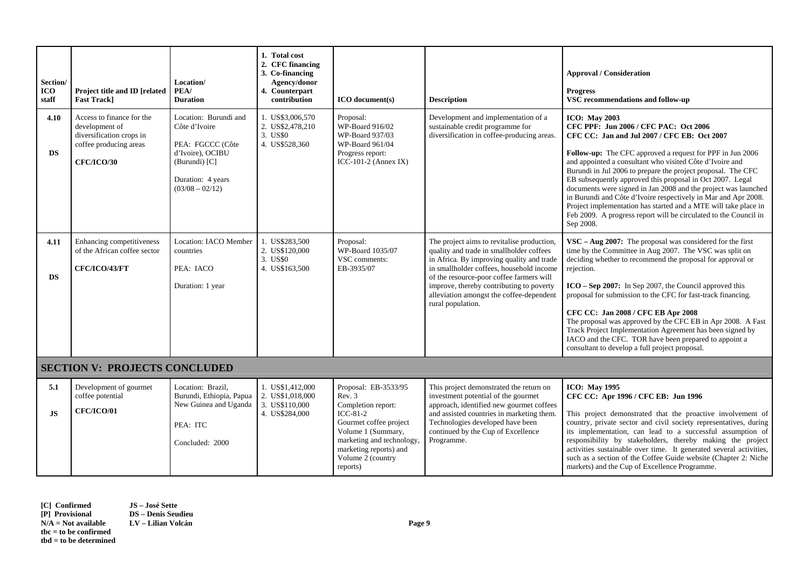| Section/<br><b>ICO</b><br>staff<br>4.10 | Project title and ID [related<br><b>Fast Track]</b><br>Access to finance for the<br>development of | Location/<br>PEA/<br><b>Duration</b><br>Location: Burundi and<br>Côte d'Ivoire                        | 1. Total cost<br>2. CFC financing<br>3. Co-financing<br>Agency/donor<br>4. Counterpart<br>contribution<br>1. US\$3,006,570<br>2. US\$2,478,210 | <b>ICO</b> document(s)<br>Proposal:<br>WP-Board 916/02                                                                                                                                                   | <b>Description</b><br>Development and implementation of a<br>sustainable credit programme for                                                                                                                                                                                                                                            | <b>Approval / Consideration</b><br><b>Progress</b><br>VSC recommendations and follow-up<br><b>ICO:</b> May 2003<br>CFC PPF: Jun 2006 / CFC PAC: Oct 2006                                                                                                                                                                                                                                                                                                                                                                                                                                                     |
|-----------------------------------------|----------------------------------------------------------------------------------------------------|-------------------------------------------------------------------------------------------------------|------------------------------------------------------------------------------------------------------------------------------------------------|----------------------------------------------------------------------------------------------------------------------------------------------------------------------------------------------------------|------------------------------------------------------------------------------------------------------------------------------------------------------------------------------------------------------------------------------------------------------------------------------------------------------------------------------------------|--------------------------------------------------------------------------------------------------------------------------------------------------------------------------------------------------------------------------------------------------------------------------------------------------------------------------------------------------------------------------------------------------------------------------------------------------------------------------------------------------------------------------------------------------------------------------------------------------------------|
| <b>DS</b>                               | diversification crops in<br>coffee producing areas<br><b>CFC/ICO/30</b>                            | PEA: FGCCC (Côte<br>d'Ivoire), OCIBU<br>(Burundi) [C]<br>Duration: 4 years<br>$(03/08 - 02/12)$       | 3. US\$0<br>4. US\$528,360                                                                                                                     | WP-Board 937/03<br>WP-Board 961/04<br>Progress report:<br>ICC-101-2 (Annex IX)                                                                                                                           | diversification in coffee-producing areas.                                                                                                                                                                                                                                                                                               | CFC CC: Jan and Jul 2007 / CFC EB: Oct 2007<br>Follow-up: The CFC approved a request for PPF in Jun 2006<br>and appointed a consultant who visited Côte d'Ivoire and<br>Burundi in Jul 2006 to prepare the project proposal. The CFC<br>EB subsequently approved this proposal in Oct 2007. Legal<br>documents were signed in Jan 2008 and the project was launched<br>in Burundi and Côte d'Ivoire respectively in Mar and Apr 2008.<br>Project implementation has started and a MTE will take place in<br>Feb 2009. A progress report will be circulated to the Council in<br>Sep 2008.                    |
| 4.11<br><b>DS</b>                       | Enhancing competitiveness<br>of the African coffee sector<br>CFC/ICO/43/FT                         | <b>Location: IACO Member</b><br>countries<br>PEA: IACO<br>Duration: 1 year                            | 1. US\$283,500<br>2. US\$120,000<br>3. US\$0<br>4. US\$163,500                                                                                 | Proposal:<br>WP-Board 1035/07<br>VSC comments:<br>EB-3935/07                                                                                                                                             | The project aims to revitalise production,<br>quality and trade in smallholder coffees<br>in Africa. By improving quality and trade<br>in smallholder coffees, household income<br>of the resource-poor coffee farmers will<br>improve, thereby contributing to poverty<br>alleviation amongst the coffee-dependent<br>rural population. | $VSC - Aug 2007$ : The proposal was considered for the first<br>time by the Committee in Aug 2007. The VSC was split on<br>deciding whether to recommend the proposal for approval or<br>rejection.<br>$ICO - Sep$ 2007: In Sep 2007, the Council approved this<br>proposal for submission to the CFC for fast-track financing.<br>CFC CC: Jan 2008 / CFC EB Apr 2008<br>The proposal was approved by the CFC EB in Apr 2008. A Fast<br>Track Project Implementation Agreement has been signed by<br>IACO and the CFC. TOR have been prepared to appoint a<br>consultant to develop a full project proposal. |
|                                         | <b>SECTION V: PROJECTS CONCLUDED</b>                                                               |                                                                                                       |                                                                                                                                                |                                                                                                                                                                                                          |                                                                                                                                                                                                                                                                                                                                          |                                                                                                                                                                                                                                                                                                                                                                                                                                                                                                                                                                                                              |
| 5.1<br><b>JS</b>                        | Development of gourmet<br>coffee potential<br><b>CFC/ICO/01</b>                                    | Location: Brazil,<br>Burundi, Ethiopia, Papua<br>New Guinea and Uganda<br>PEA: ITC<br>Concluded: 2000 | 1. US\$1,412,000<br>2. US\$1,018,000<br>3. US\$110,000<br>4. US\$284,000                                                                       | Proposal: EB-3533/95<br>Rev. 3<br>Completion report:<br>ICC-81-2<br>Gourmet coffee project<br>Volume 1 (Summary,<br>marketing and technology,<br>marketing reports) and<br>Volume 2 (country<br>reports) | This project demonstrated the return on<br>investment potential of the gourmet<br>approach, identified new gourmet coffees<br>and assisted countries in marketing them.<br>Technologies developed have been<br>continued by the Cup of Excellence<br>Programme.                                                                          | <b>ICO: May 1995</b><br>CFC CC: Apr 1996 / CFC EB: Jun 1996<br>This project demonstrated that the proactive involvement of<br>country, private sector and civil society representatives, during<br>its implementation, can lead to a successful assumption of<br>responsibility by stakeholders, thereby making the project<br>activities sustainable over time. It generated several activities,<br>such as a section of the Coffee Guide website (Chapter 2: Niche<br>markets) and the Cup of Excellence Programme.                                                                                        |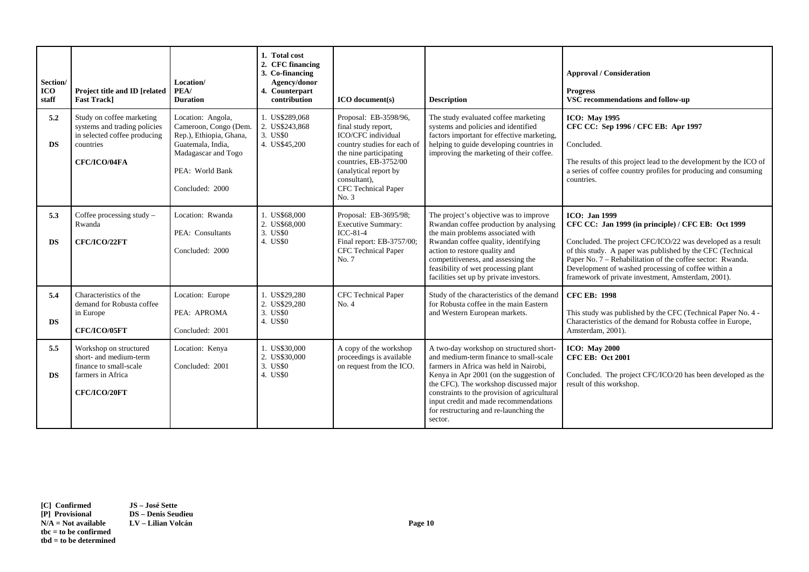| Section/<br><b>ICO</b><br>staff | Project title and ID [related<br><b>Fast Trackl</b>                                                                    | Location/<br>PEA/<br><b>Duration</b>                                                                                                                    | 1. Total cost<br>2. CFC financing<br>3. Co-financing<br>Agency/donor<br>4. Counterpart<br>contribution | <b>ICO</b> document(s)                                                                                                                                                                                                        | <b>Description</b>                                                                                                                                                                                                                                                                                                                                             | <b>Approval / Consideration</b><br><b>Progress</b><br>VSC recommendations and follow-up                                                                                                                                                                                                                                                                                             |
|---------------------------------|------------------------------------------------------------------------------------------------------------------------|---------------------------------------------------------------------------------------------------------------------------------------------------------|--------------------------------------------------------------------------------------------------------|-------------------------------------------------------------------------------------------------------------------------------------------------------------------------------------------------------------------------------|----------------------------------------------------------------------------------------------------------------------------------------------------------------------------------------------------------------------------------------------------------------------------------------------------------------------------------------------------------------|-------------------------------------------------------------------------------------------------------------------------------------------------------------------------------------------------------------------------------------------------------------------------------------------------------------------------------------------------------------------------------------|
| 5.2<br><b>DS</b>                | Study on coffee marketing<br>systems and trading policies<br>in selected coffee producing<br>countries<br>CFC/ICO/04FA | Location: Angola,<br>Cameroon, Congo (Dem.<br>Rep.), Ethiopia, Ghana,<br>Guatemala, India,<br>Madagascar and Togo<br>PEA: World Bank<br>Concluded: 2000 | 1. US\$289,068<br>2. US\$243,868<br>3. US\$0<br>4. US\$45,200                                          | Proposal: EB-3598/96,<br>final study report,<br>ICO/CFC individual<br>country studies for each of<br>the nine participating<br>countries, EB-3752/00<br>(analytical report by<br>consultant),<br>CFC Technical Paper<br>No. 3 | The study evaluated coffee marketing<br>systems and policies and identified<br>factors important for effective marketing,<br>helping to guide developing countries in<br>improving the marketing of their coffee.                                                                                                                                              | <b>ICO: May 1995</b><br>CFC CC: Sep 1996 / CFC EB: Apr 1997<br>Concluded.<br>The results of this project lead to the development by the ICO of<br>a series of coffee country profiles for producing and consuming<br>countries.                                                                                                                                                     |
| 5.3<br><b>DS</b>                | Coffee processing study -<br>Rwanda<br>CFC/ICO/22FT                                                                    | Location: Rwanda<br>PEA: Consultants<br>Concluded: 2000                                                                                                 | 1. US\$68,000<br>2. US\$68,000<br>3. US\$0<br>4. US\$0                                                 | Proposal: EB-3695/98;<br><b>Executive Summary:</b><br>$ICC-81-4$<br>Final report: EB-3757/00;<br>CFC Technical Paper<br>No. 7                                                                                                 | The project's objective was to improve<br>Rwandan coffee production by analysing<br>the main problems associated with<br>Rwandan coffee quality, identifying<br>action to restore quality and<br>competitiveness, and assessing the<br>feasibility of wet processing plant<br>facilities set up by private investors.                                          | <b>ICO</b> : Jan 1999<br>CFC CC: Jan 1999 (in principle) / CFC EB: Oct 1999<br>Concluded. The project CFC/ICO/22 was developed as a result<br>of this study. A paper was published by the CFC (Technical<br>Paper No. 7 – Rehabilitation of the coffee sector: Rwanda.<br>Development of washed processing of coffee within a<br>framework of private investment, Amsterdam, 2001). |
| 5.4<br><b>DS</b>                | Characteristics of the<br>demand for Robusta coffee<br>in Europe<br>CFC/ICO/05FT                                       | Location: Europe<br>PEA: APROMA<br>Concluded: 2001                                                                                                      | 1. US\$29.280<br>2. US\$29,280<br>3. US\$0<br>4. US\$0                                                 | <b>CFC</b> Technical Paper<br>No. 4                                                                                                                                                                                           | Study of the characteristics of the demand<br>for Robusta coffee in the main Eastern<br>and Western European markets.                                                                                                                                                                                                                                          | <b>CFC EB: 1998</b><br>This study was published by the CFC (Technical Paper No. 4 -<br>Characteristics of the demand for Robusta coffee in Europe,<br>Amsterdam, 2001).                                                                                                                                                                                                             |
| 5.5<br><b>DS</b>                | Workshop on structured<br>short- and medium-term<br>finance to small-scale<br>farmers in Africa<br>CFC/ICO/20FT        | Location: Kenya<br>Concluded: 2001                                                                                                                      | 1. US\$30,000<br>2. US\$30,000<br>3. US\$0<br>4. US\$0                                                 | A copy of the workshop<br>proceedings is available<br>on request from the ICO.                                                                                                                                                | A two-day workshop on structured short-<br>and medium-term finance to small-scale<br>farmers in Africa was held in Nairobi,<br>Kenya in Apr 2001 (on the suggestion of<br>the CFC). The workshop discussed major<br>constraints to the provision of agricultural<br>input credit and made recommendations<br>for restructuring and re-launching the<br>sector. | <b>ICO:</b> May 2000<br><b>CFC EB: Oct 2001</b><br>Concluded. The project CFC/ICO/20 has been developed as the<br>result of this workshop.                                                                                                                                                                                                                                          |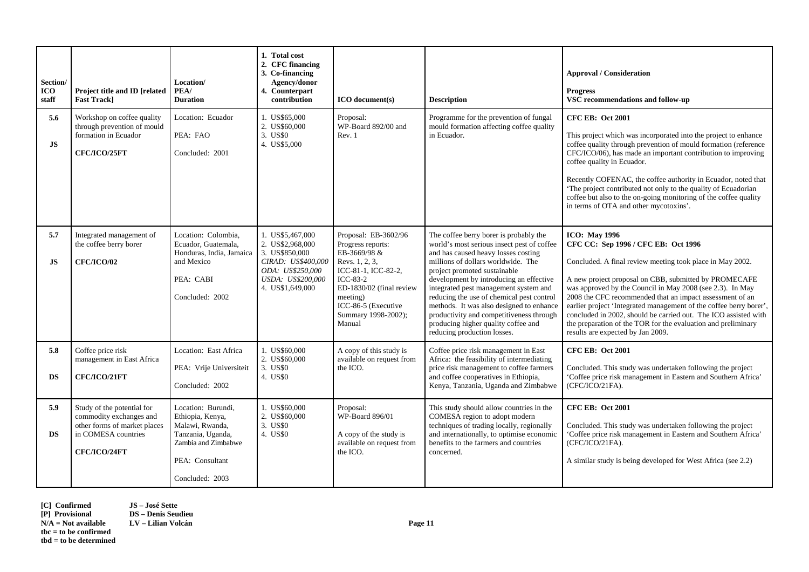| Section/<br><b>ICO</b><br>staff | Project title and ID [related<br><b>Fast Track]</b>                                                                          | Location/<br>PEA/<br><b>Duration</b>                                                                                                        | 1. Total cost<br>2. CFC financing<br>3. Co-financing<br>Agency/donor<br>4. Counterpart<br>contribution                                    | <b>ICO</b> document(s)                                                                                                                                                                                           | <b>Description</b>                                                                                                                                                                                                                                                                                                                                                                                                                                                                               | <b>Approval / Consideration</b><br><b>Progress</b><br>VSC recommendations and follow-up                                                                                                                                                                                                                                                                                                                                                                                                                                                                   |
|---------------------------------|------------------------------------------------------------------------------------------------------------------------------|---------------------------------------------------------------------------------------------------------------------------------------------|-------------------------------------------------------------------------------------------------------------------------------------------|------------------------------------------------------------------------------------------------------------------------------------------------------------------------------------------------------------------|--------------------------------------------------------------------------------------------------------------------------------------------------------------------------------------------------------------------------------------------------------------------------------------------------------------------------------------------------------------------------------------------------------------------------------------------------------------------------------------------------|-----------------------------------------------------------------------------------------------------------------------------------------------------------------------------------------------------------------------------------------------------------------------------------------------------------------------------------------------------------------------------------------------------------------------------------------------------------------------------------------------------------------------------------------------------------|
| 5.6<br>JS                       | Workshop on coffee quality<br>through prevention of mould<br>formation in Ecuador<br>CFC/ICO/25FT                            | Location: Ecuador<br>PEA: FAO<br>Concluded: 2001                                                                                            | 1. US\$65,000<br>2. US\$60,000<br>3. US\$0<br>4. US\$5,000                                                                                | Proposal:<br>WP-Board 892/00 and<br>Rev. 1                                                                                                                                                                       | Programme for the prevention of fungal<br>mould formation affecting coffee quality<br>in Ecuador.                                                                                                                                                                                                                                                                                                                                                                                                | <b>CFC EB: Oct 2001</b><br>This project which was incorporated into the project to enhance<br>coffee quality through prevention of mould formation (reference<br>CFC/ICO/06), has made an important contribution to improving<br>coffee quality in Ecuador.<br>Recently COFENAC, the coffee authority in Ecuador, noted that<br>The project contributed not only to the quality of Ecuadorian<br>coffee but also to the on-going monitoring of the coffee quality<br>in terms of OTA and other mycotoxins'.                                               |
| 5.7<br>JS                       | Integrated management of<br>the coffee berry borer<br><b>CFC/ICO/02</b>                                                      | Location: Colombia,<br>Ecuador, Guatemala,<br>Honduras, India, Jamaica<br>and Mexico<br>PEA: CABI<br>Concluded: 2002                        | 1. US\$5,467,000<br>2. US\$2,968,000<br>3. US\$850,000<br>CIRAD: US\$400,000<br>ODA: US\$250,000<br>USDA: US\$200.000<br>4. US\$1,649,000 | Proposal: EB-3602/96<br>Progress reports:<br>EB-3669/98 &<br>Revs. 1, 2, 3,<br>ICC-81-1, ICC-82-2,<br>$ICC-83-2$<br>ED-1830/02 (final review<br>meeting)<br>ICC-86-5 (Executive<br>Summary 1998-2002);<br>Manual | The coffee berry borer is probably the<br>world's most serious insect pest of coffee<br>and has caused heavy losses costing<br>millions of dollars worldwide. The<br>project promoted sustainable<br>development by introducing an effective<br>integrated pest management system and<br>reducing the use of chemical pest control<br>methods. It was also designed to enhance<br>productivity and competitiveness through<br>producing higher quality coffee and<br>reducing production losses. | <b>ICO: May 1996</b><br>CFC CC: Sep 1996 / CFC EB: Oct 1996<br>Concluded. A final review meeting took place in May 2002.<br>A new project proposal on CBB, submitted by PROMECAFE<br>was approved by the Council in May 2008 (see 2.3). In May<br>2008 the CFC recommended that an impact assessment of an<br>earlier project 'Integrated management of the coffee berry borer',<br>concluded in 2002, should be carried out. The ICO assisted with<br>the preparation of the TOR for the evaluation and preliminary<br>results are expected by Jan 2009. |
| 5.8<br><b>DS</b>                | Coffee price risk<br>management in East Africa<br>CFC/ICO/21FT                                                               | Location: East Africa<br>PEA: Vrije Universiteit<br>Concluded: 2002                                                                         | 1. US\$60,000<br>2. US\$60,000<br>3. US\$0<br>4. US\$0                                                                                    | A copy of this study is<br>available on request from<br>the ICO.                                                                                                                                                 | Coffee price risk management in East<br>Africa: the feasibility of intermediating<br>price risk management to coffee farmers<br>and coffee cooperatives in Ethiopia,<br>Kenya, Tanzania, Uganda and Zimbabwe                                                                                                                                                                                                                                                                                     | <b>CFC EB: Oct 2001</b><br>Concluded. This study was undertaken following the project<br>'Coffee price risk management in Eastern and Southern Africa'<br>(CFC/ICO/21FA).                                                                                                                                                                                                                                                                                                                                                                                 |
| 5.9<br>DS                       | Study of the potential for<br>commodity exchanges and<br>other forms of market places<br>in COMESA countries<br>CFC/ICO/24FT | Location: Burundi,<br>Ethiopia, Kenya,<br>Malawi, Rwanda,<br>Tanzania, Uganda,<br>Zambia and Zimbabwe<br>PEA: Consultant<br>Concluded: 2003 | 1. US\$60,000<br>2. US\$60,000<br>3. US\$0<br>4. US\$0                                                                                    | Proposal:<br>WP-Board 896/01<br>A copy of the study is<br>available on request from<br>the ICO.                                                                                                                  | This study should allow countries in the<br>COMESA region to adopt modern<br>techniques of trading locally, regionally<br>and internationally, to optimise economic<br>benefits to the farmers and countries<br>concerned.                                                                                                                                                                                                                                                                       | <b>CFC EB: Oct 2001</b><br>Concluded. This study was undertaken following the project<br>'Coffee price risk management in Eastern and Southern Africa'<br>(CFC/ICO/21FA).<br>A similar study is being developed for West Africa (see 2.2)                                                                                                                                                                                                                                                                                                                 |

**[C] Confirmed JS – José Sette [P] Provisional DS – Denis Seudieu tbc = to be confirmed tbd = to be determined**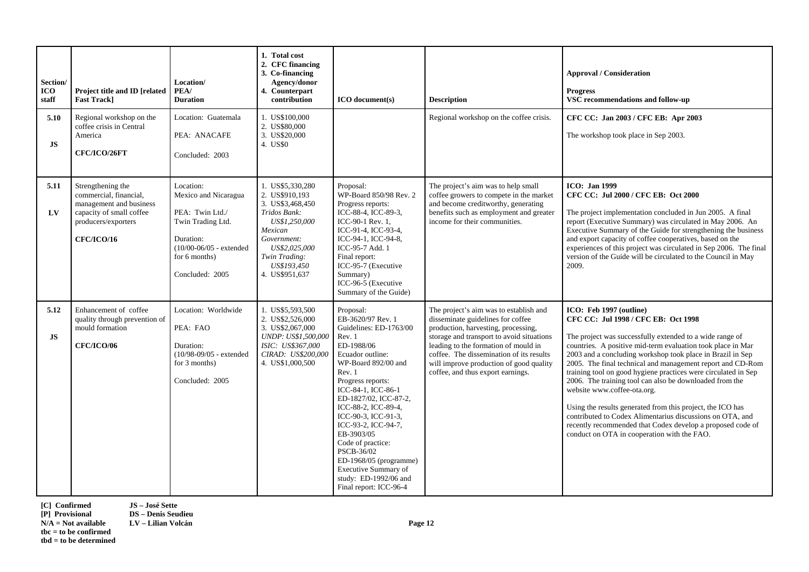| Section/<br><b>ICO</b><br>staff | Project title and ID [related<br><b>Fast Trackl</b>                                                                                            | Location/<br>PEA/<br><b>Duration</b>                                                                                                                  | 1. Total cost<br>2. CFC financing<br>3. Co-financing<br>Agency/donor<br>4. Counterpart<br>contribution                                                                               | <b>ICO</b> document(s)                                                                                                                                                                                                                                                                                                                                                                                                               | <b>Description</b>                                                                                                                                                                                                                                                                                                                  | <b>Approval / Consideration</b><br><b>Progress</b><br>VSC recommendations and follow-up                                                                                                                                                                                                                                                                                                                                                                                                                                                                                                                                                                                                                                   |
|---------------------------------|------------------------------------------------------------------------------------------------------------------------------------------------|-------------------------------------------------------------------------------------------------------------------------------------------------------|--------------------------------------------------------------------------------------------------------------------------------------------------------------------------------------|--------------------------------------------------------------------------------------------------------------------------------------------------------------------------------------------------------------------------------------------------------------------------------------------------------------------------------------------------------------------------------------------------------------------------------------|-------------------------------------------------------------------------------------------------------------------------------------------------------------------------------------------------------------------------------------------------------------------------------------------------------------------------------------|---------------------------------------------------------------------------------------------------------------------------------------------------------------------------------------------------------------------------------------------------------------------------------------------------------------------------------------------------------------------------------------------------------------------------------------------------------------------------------------------------------------------------------------------------------------------------------------------------------------------------------------------------------------------------------------------------------------------------|
| 5.10<br>JS                      | Regional workshop on the<br>coffee crisis in Central<br>America<br>CFC/ICO/26FT                                                                | Location: Guatemala<br>PEA: ANACAFE<br>Concluded: 2003                                                                                                | 1. US\$100,000<br>2. US\$80,000<br>3. US\$20,000<br>4. US\$0                                                                                                                         |                                                                                                                                                                                                                                                                                                                                                                                                                                      | Regional workshop on the coffee crisis.                                                                                                                                                                                                                                                                                             | CFC CC: Jan 2003 / CFC EB: Apr 2003<br>The workshop took place in Sep 2003.                                                                                                                                                                                                                                                                                                                                                                                                                                                                                                                                                                                                                                               |
| 5.11<br>LV                      | Strengthening the<br>commercial, financial,<br>management and business<br>capacity of small coffee<br>producers/exporters<br><b>CFC/ICO/16</b> | Location:<br>Mexico and Nicaragua<br>PEA: Twin Ltd./<br>Twin Trading Ltd.<br>Duration:<br>(10/00-06/05 - extended<br>for 6 months)<br>Concluded: 2005 | 1. US\$5,330,280<br>2. US\$910,193<br>3. US\$3,468,450<br>Tridos Bank:<br>US\$1,250,000<br>Mexican<br>Government:<br>US\$2,025,000<br>Twin Trading:<br>US\$193.450<br>4. US\$951.637 | Proposal:<br>WP-Board 850/98 Rev. 2<br>Progress reports:<br>ICC-88-4, ICC-89-3,<br>ICC-90-1 Rev. 1,<br>ICC-91-4, ICC-93-4,<br>ICC-94-1, ICC-94-8,<br>ICC-95-7 Add. 1<br>Final report:<br>ICC-95-7 (Executive<br>Summary)<br>ICC-96-5 (Executive<br>Summary of the Guide)                                                                                                                                                             | The project's aim was to help small<br>coffee growers to compete in the market<br>and become creditworthy, generating<br>benefits such as employment and greater<br>income for their communities.                                                                                                                                   | <b>ICO</b> : Jan 1999<br>CFC CC: Jul 2000 / CFC EB: Oct 2000<br>The project implementation concluded in Jun 2005. A final<br>report (Executive Summary) was circulated in May 2006. An<br>Executive Summary of the Guide for strengthening the business<br>and export capacity of coffee cooperatives, based on the<br>experiences of this project was circulated in Sep 2006. The final<br>version of the Guide will be circulated to the Council in May<br>2009.                                                                                                                                                                                                                                                        |
| 5.12<br><b>JS</b>               | Enhancement of coffee<br>quality through prevention of<br>mould formation<br><b>CFC/ICO/06</b>                                                 | Location: Worldwide<br>PEA: FAO<br>Duration:<br>$(10/98-09/05 - \text{extended})$<br>for 3 months)<br>Concluded: 2005                                 | 1. US\$5,593,500<br>2. US\$2,526,000<br>3. US\$2,067,000<br>UNDP: US\$1,500,000<br>ISIC: US\$367,000<br>CIRAD: US\$200,000<br>4. US\$1,000,500                                       | Proposal:<br>EB-3620/97 Rev. 1<br>Guidelines: ED-1763/00<br>Rev. 1<br>ED-1988/06<br>Ecuador outline:<br>WP-Board 892/00 and<br>Rev. 1<br>Progress reports:<br>ICC-84-1, ICC-86-1<br>ED-1827/02, ICC-87-2,<br>ICC-88-2, ICC-89-4,<br>ICC-90-3, ICC-91-3,<br>ICC-93-2, ICC-94-7,<br>EB-3903/05<br>Code of practice:<br>PSCB-36/02<br>ED-1968/05 (programme)<br>Executive Summary of<br>study: ED-1992/06 and<br>Final report: ICC-96-4 | The project's aim was to establish and<br>disseminate guidelines for coffee<br>production, harvesting, processing,<br>storage and transport to avoid situations<br>leading to the formation of mould in<br>coffee. The dissemination of its results<br>will improve production of good quality<br>coffee, and thus export earnings. | ICO: Feb 1997 (outline)<br>CFC CC: Jul 1998 / CFC EB: Oct 1998<br>The project was successfully extended to a wide range of<br>countries. A positive mid-term evaluation took place in Mar<br>2003 and a concluding workshop took place in Brazil in Sep<br>2005. The final technical and management report and CD-Rom<br>training tool on good hygiene practices were circulated in Sep<br>2006. The training tool can also be downloaded from the<br>website www.coffee-ota.org.<br>Using the results generated from this project, the ICO has<br>contributed to Codex Alimentarius discussions on OTA, and<br>recently recommended that Codex develop a proposed code of<br>conduct on OTA in cooperation with the FAO. |

**[C] Confirmed JS – José Sette**

**[P] Provisional DS – Denis Seudieu N/A = Not available LV – Lilian Volcán Page 12** 

**tbc = to be confirmed tbd = to be determined**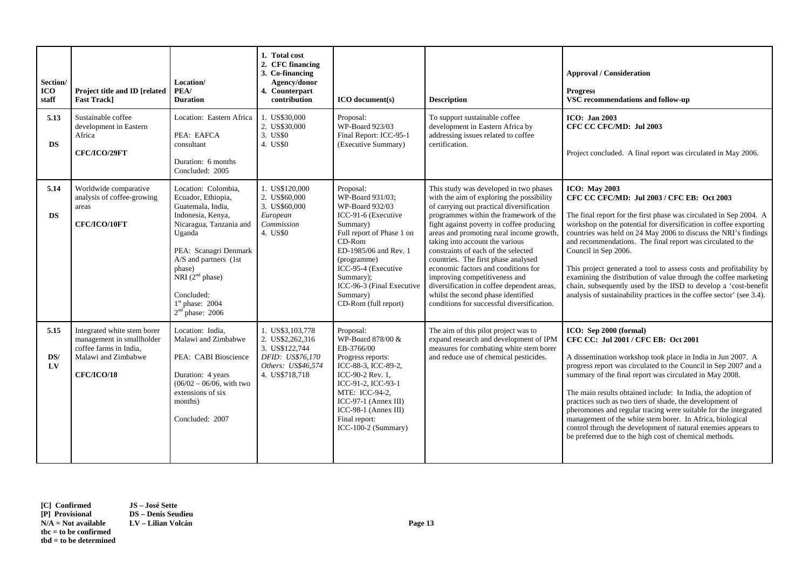| Section/<br><b>ICO</b><br>staff | Project title and ID [related<br><b>Fast Track]</b>                                                                            | Location/<br>PEA/<br><b>Duration</b>                                                                                                                                                                                                                              | 1. Total cost<br>2. CFC financing<br>3. Co-financing<br>Agency/donor<br>4. Counterpart<br>contribution             | $ICO$ document(s)                                                                                                                                                                                                                                                         | <b>Description</b>                                                                                                                                                                                                                                                                                                                                                                                                                                                                                                                                                                             | <b>Approval / Consideration</b><br><b>Progress</b><br>VSC recommendations and follow-up                                                                                                                                                                                                                                                                                                                                                                                                                                                                                                                                                                       |
|---------------------------------|--------------------------------------------------------------------------------------------------------------------------------|-------------------------------------------------------------------------------------------------------------------------------------------------------------------------------------------------------------------------------------------------------------------|--------------------------------------------------------------------------------------------------------------------|---------------------------------------------------------------------------------------------------------------------------------------------------------------------------------------------------------------------------------------------------------------------------|------------------------------------------------------------------------------------------------------------------------------------------------------------------------------------------------------------------------------------------------------------------------------------------------------------------------------------------------------------------------------------------------------------------------------------------------------------------------------------------------------------------------------------------------------------------------------------------------|---------------------------------------------------------------------------------------------------------------------------------------------------------------------------------------------------------------------------------------------------------------------------------------------------------------------------------------------------------------------------------------------------------------------------------------------------------------------------------------------------------------------------------------------------------------------------------------------------------------------------------------------------------------|
| 5.13<br><b>DS</b>               | Sustainable coffee<br>development in Eastern<br>Africa<br>CFC/ICO/29FT                                                         | Location: Eastern Africa<br>PEA: EAFCA<br>consultant<br>Duration: 6 months<br>Concluded: 2005                                                                                                                                                                     | 1. US\$30,000<br>2. US\$30,000<br>3. US\$0<br>4. US\$0                                                             | Proposal:<br>WP-Board 923/03<br>Final Report: ICC-95-1<br>(Executive Summary)                                                                                                                                                                                             | To support sustainable coffee<br>development in Eastern Africa by<br>addressing issues related to coffee<br>certification.                                                                                                                                                                                                                                                                                                                                                                                                                                                                     | <b>ICO: Jan 2003</b><br>CFC CC CFC/MD: Jul 2003<br>Project concluded. A final report was circulated in May 2006.                                                                                                                                                                                                                                                                                                                                                                                                                                                                                                                                              |
| 5.14<br><b>DS</b>               | Worldwide comparative<br>analysis of coffee-growing<br>areas<br>CFC/ICO/10FT                                                   | Location: Colombia,<br>Ecuador, Ethiopia,<br>Guatemala, India,<br>Indonesia, Kenya,<br>Nicaragua, Tanzania and<br>Uganda<br>PEA: Scanagri Denmark<br>A/S and partners (1st<br>phase)<br>NRI $(2nd phase)$<br>Concluded:<br>$1st$ phase: 2004<br>$2nd$ phase: 2006 | 1. US\$120,000<br>2. US\$60,000<br>3. US\$60,000<br>European<br>Commission<br>4. US\$0                             | Proposal:<br>WP-Board 931/03;<br>WP-Board 932/03<br>ICC-91-6 (Executive<br>Summary)<br>Full report of Phase 1 on<br>$CD-Rom$<br>ED-1985/06 and Rev. 1<br>(programme)<br>ICC-95-4 (Executive<br>Summary);<br>ICC-96-3 (Final Executive<br>Summary)<br>CD-Rom (full report) | This study was developed in two phases<br>with the aim of exploring the possibility<br>of carrying out practical diversification<br>programmes within the framework of the<br>fight against poverty in coffee producing<br>areas and promoting rural income growth,<br>taking into account the various<br>constraints of each of the selected<br>countries. The first phase analysed<br>economic factors and conditions for<br>improving competitiveness and<br>diversification in coffee dependent areas,<br>whilst the second phase identified<br>conditions for successful diversification. | <b>ICO:</b> May 2003<br>CFC CC CFC/MD: Jul 2003 / CFC EB: Oct 2003<br>The final report for the first phase was circulated in Sep 2004. A<br>workshop on the potential for diversification in coffee exporting<br>countries was held on 24 May 2006 to discuss the NRI's findings<br>and recommendations. The final report was circulated to the<br>Council in Sep 2006.<br>This project generated a tool to assess costs and profitability by<br>examining the distribution of value through the coffee marketing<br>chain, subsequently used by the IISD to develop a 'cost-benefit<br>analysis of sustainability practices in the coffee sector' (see 3.4). |
| 5.15<br>DS/<br>$L$ V            | Integrated white stem borer<br>management in smallholder<br>coffee farms in India,<br>Malawi and Zimbabwe<br><b>CFC/ICO/18</b> | Location: India,<br>Malawi and Zimbabwe<br>PEA: CABI Bioscience<br>Duration: 4 years<br>$(06/02 - 06/06, with two)$<br>extensions of six<br>months)<br>Concluded: 2007                                                                                            | 1. US\$3,103,778<br>2. US\$2,262,316<br>3. US\$122,744<br>DFID: US\$76,170<br>Others: US\$46,574<br>4. US\$718,718 | Proposal:<br>WP-Board 878/00 &<br>EB-3766/00<br>Progress reports:<br>ICC-88-3, ICC-89-2,<br>ICC-90-2 Rev. 1,<br>ICC-91-2, ICC-93-1<br>MTE: ICC-94-2,<br>$ICC-97-1 (Annex III)$<br>$ICC-98-1 (Annex III)$<br>Final report:<br>ICC-100-2 (Summary)                          | The aim of this pilot project was to<br>expand research and development of IPM<br>measures for combating white stem borer<br>and reduce use of chemical pesticides.                                                                                                                                                                                                                                                                                                                                                                                                                            | ICO: Sep 2000 (formal)<br>CFC CC: Jul 2001 / CFC EB: Oct 2001<br>A dissemination workshop took place in India in Jun 2007. A<br>progress report was circulated to the Council in Sep 2007 and a<br>summary of the final report was circulated in May 2008.<br>The main results obtained include: In India, the adoption of<br>practices such as two tiers of shade, the development of<br>pheromones and regular tracing were suitable for the integrated<br>management of the white stem borer. In Africa, biological<br>control through the development of natural enemies appears to<br>be preferred due to the high cost of chemical methods.             |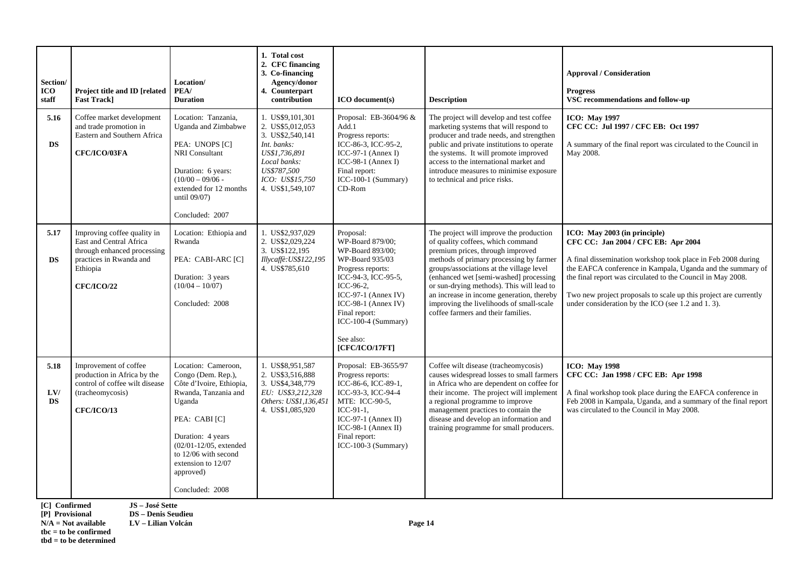| Section/<br><b>ICO</b><br>staff | Project title and ID [related]<br><b>Fast Trackl</b>                                                                                              | Location/<br>PEA/<br><b>Duration</b>                                                                                                                                                                                                                      | 1. Total cost<br>2. CFC financing<br>3. Co-financing<br>Agency/donor<br>4. Counterpart<br>contribution                                                         | <b>ICO</b> document(s)                                                                                                                                                                                                                                 | <b>Description</b>                                                                                                                                                                                                                                                                                                                                                                                                            | <b>Approval / Consideration</b><br><b>Progress</b><br>VSC recommendations and follow-up                                                                                                                                                                                                                                                                                                   |
|---------------------------------|---------------------------------------------------------------------------------------------------------------------------------------------------|-----------------------------------------------------------------------------------------------------------------------------------------------------------------------------------------------------------------------------------------------------------|----------------------------------------------------------------------------------------------------------------------------------------------------------------|--------------------------------------------------------------------------------------------------------------------------------------------------------------------------------------------------------------------------------------------------------|-------------------------------------------------------------------------------------------------------------------------------------------------------------------------------------------------------------------------------------------------------------------------------------------------------------------------------------------------------------------------------------------------------------------------------|-------------------------------------------------------------------------------------------------------------------------------------------------------------------------------------------------------------------------------------------------------------------------------------------------------------------------------------------------------------------------------------------|
| 5.16<br>DS                      | Coffee market development<br>and trade promotion in<br>Eastern and Southern Africa<br>CFC/ICO/03FA                                                | Location: Tanzania,<br>Uganda and Zimbabwe<br>PEA: UNOPS [C]<br>NRI Consultant<br>Duration: 6 years:<br>$(10/00 - 09/06 -$<br>extended for 12 months<br>until 09/07)<br>Concluded: 2007                                                                   | 1. US\$9,101,301<br>2. US\$5,012,053<br>3. US\$2,540,141<br>Int. banks:<br>US\$1,736,891<br>Local banks:<br>US\$787.500<br>ICO: US\$15,750<br>4. US\$1,549,107 | Proposal: EB-3604/96 &<br>Add.1<br>Progress reports:<br>ICC-86-3, ICC-95-2,<br>ICC-97-1 (Annex I)<br>ICC-98-1 (Annex I)<br>Final report:<br>ICC-100-1 (Summary)<br>CD-Rom                                                                              | The project will develop and test coffee<br>marketing systems that will respond to<br>producer and trade needs, and strengthen<br>public and private institutions to operate<br>the systems. It will promote improved<br>access to the international market and<br>introduce measures to minimise exposure<br>to technical and price risks.                                                                                   | <b>ICO: May 1997</b><br>CFC CC: Jul 1997 / CFC EB: Oct 1997<br>A summary of the final report was circulated to the Council in<br>May 2008.                                                                                                                                                                                                                                                |
| 5.17<br><b>DS</b>               | Improving coffee quality in<br>East and Central Africa<br>through enhanced processing<br>practices in Rwanda and<br>Ethiopia<br><b>CFC/ICO/22</b> | Location: Ethiopia and<br>Rwanda<br>PEA: CABI-ARC [C]<br>Duration: 3 years<br>$(10/04 - 10/07)$<br>Concluded: 2008                                                                                                                                        | 1. US\$2,937,029<br>2. US\$2,029,224<br>3. US\$122,195<br>Illycaffè: US\$122,195<br>4. US\$785,610                                                             | Proposal:<br>WP-Board 879/00;<br>WP-Board 893/00;<br>WP-Board 935/03<br>Progress reports:<br>ICC-94-3, ICC-95-5,<br>ICC-96-2,<br>$ICC-97-1$ (Annex IV)<br>$ICC-98-1 (Annex IV)$<br>Final report:<br>ICC-100-4 (Summary)<br>See also:<br>[CFC/ICO/17FT] | The project will improve the production<br>of quality coffees, which command<br>premium prices, through improved<br>methods of primary processing by farmer<br>groups/associations at the village level<br>(enhanced wet [semi-washed] processing<br>or sun-drying methods). This will lead to<br>an increase in income generation, thereby<br>improving the livelihoods of small-scale<br>coffee farmers and their families. | ICO: May 2003 (in principle)<br>CFC CC: Jan 2004 / CFC EB: Apr 2004<br>A final dissemination workshop took place in Feb 2008 during<br>the EAFCA conference in Kampala, Uganda and the summary of<br>the final report was circulated to the Council in May 2008.<br>Two new project proposals to scale up this project are currently<br>under consideration by the ICO (see 1.2 and 1.3). |
| 5.18<br>LVI<br><b>DS</b>        | Improvement of coffee<br>production in Africa by the<br>control of coffee wilt disease<br>(tracheomycosis)<br><b>CFC/ICO/13</b>                   | Location: Cameroon,<br>Congo (Dem. Rep.),<br>Côte d'Ivoire, Ethiopia,<br>Rwanda, Tanzania and<br>Uganda<br>PEA: CABI [C]<br>Duration: 4 years<br>$(02/01 - 12/05,$ extended<br>to 12/06 with second<br>extension to 12/07<br>approved)<br>Concluded: 2008 | 1. US\$8,951,587<br>2. US\$3.516.888<br>3. US\$4,348,779<br>EU: US\$3,212,328<br>Others: US\$1,136,451<br>4. US\$1,085,920                                     | Proposal: EB-3655/97<br>Progress reports:<br>ICC-86-6, ICC-89-1,<br>ICC-93-3, ICC-94-4<br>MTE: ICC-90-5,<br>ICC-91-1.<br>$ICC-97-1$ (Annex II)<br>ICC-98-1 (Annex II)<br>Final report:<br>ICC-100-3 (Summary)                                          | Coffee wilt disease (tracheomycosis)<br>causes widespread losses to small farmers<br>in Africa who are dependent on coffee for<br>their income. The project will implement<br>a regional programme to improve<br>management practices to contain the<br>disease and develop an information and<br>training programme for small producers.                                                                                     | <b>ICO: May 1998</b><br>CFC CC: Jan 1998 / CFC EB: Apr 1998<br>A final workshop took place during the EAFCA conference in<br>Feb 2008 in Kampala, Uganda, and a summary of the final report<br>was circulated to the Council in May 2008.                                                                                                                                                 |

**[C] Confirmed JS – José Sette**

**[P] Provisional DS – Denis Seudieu N/A = Not available LV – Lilian Volcán Page 14** 

**tbc = to be confirmed** 

**tbd = to be determined**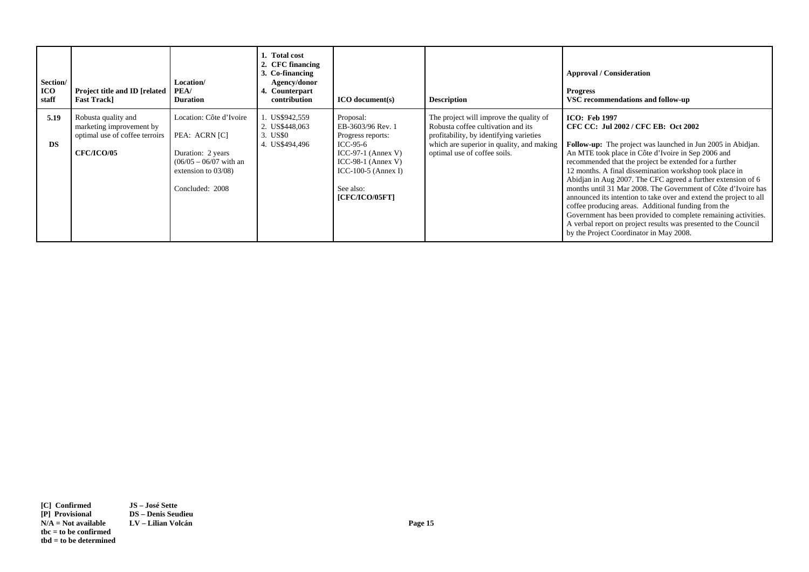| Section/<br>ICO<br>staff | <b>Project title and ID [related   PEA/</b><br><b>Fast Track</b>                                       | Location/<br><b>Duration</b>                                                                                                           | 1. Total cost<br>2. CFC financing<br>3. Co-financing<br>Agency/donor<br>4. Counterpart<br>contribution | <b>ICO</b> document(s)                                                                                                                                              | <b>Description</b>                                                                                                                                                                                    | <b>Approval / Consideration</b><br><b>Progress</b><br>VSC recommendations and follow-up                                                                                                                                                                                                                                                                                                                                                                                                                                                                                                                                                                                                                                                                    |
|--------------------------|--------------------------------------------------------------------------------------------------------|----------------------------------------------------------------------------------------------------------------------------------------|--------------------------------------------------------------------------------------------------------|---------------------------------------------------------------------------------------------------------------------------------------------------------------------|-------------------------------------------------------------------------------------------------------------------------------------------------------------------------------------------------------|------------------------------------------------------------------------------------------------------------------------------------------------------------------------------------------------------------------------------------------------------------------------------------------------------------------------------------------------------------------------------------------------------------------------------------------------------------------------------------------------------------------------------------------------------------------------------------------------------------------------------------------------------------------------------------------------------------------------------------------------------------|
| 5.19<br><b>DS</b>        | Robusta quality and<br>marketing improvement by<br>optimal use of coffee terroirs<br><b>CFC/ICO/05</b> | Location: Côte d'Ivoire<br>PEA: ACRN [C]<br>Duration: 2 years<br>$(06/05 - 06/07$ with an<br>extension to $03/08$ )<br>Concluded: 2008 | 1. US\$942,559<br>2. US\$448,063<br>3. US\$0<br>4. US\$494,496                                         | Proposal:<br>EB-3603/96 Rev. 1<br>Progress reports:<br>ICC-95-6<br>$ICC-97-1 (Annex V)$<br>ICC-98-1 (Annex V)<br>ICC-100-5 (Annex I)<br>See also:<br>[CFC/ICO/05FT] | The project will improve the quality of<br>Robusta coffee cultivation and its<br>profitability, by identifying varieties<br>which are superior in quality, and making<br>optimal use of coffee soils. | <b>ICO: Feb 1997</b><br>CFC CC: Jul 2002 / CFC EB: Oct 2002<br><b>Follow-up:</b> The project was launched in Jun 2005 in Abidjan.<br>An MTE took place in Côte d'Ivoire in Sep 2006 and<br>recommended that the project be extended for a further<br>12 months. A final dissemination workshop took place in<br>Abidian in Aug 2007. The CFC agreed a further extension of 6<br>months until 31 Mar 2008. The Government of Côte d'Ivoire has<br>announced its intention to take over and extend the project to all<br>coffee producing areas. Additional funding from the<br>Government has been provided to complete remaining activities.<br>A verbal report on project results was presented to the Council<br>by the Project Coordinator in May 2008. |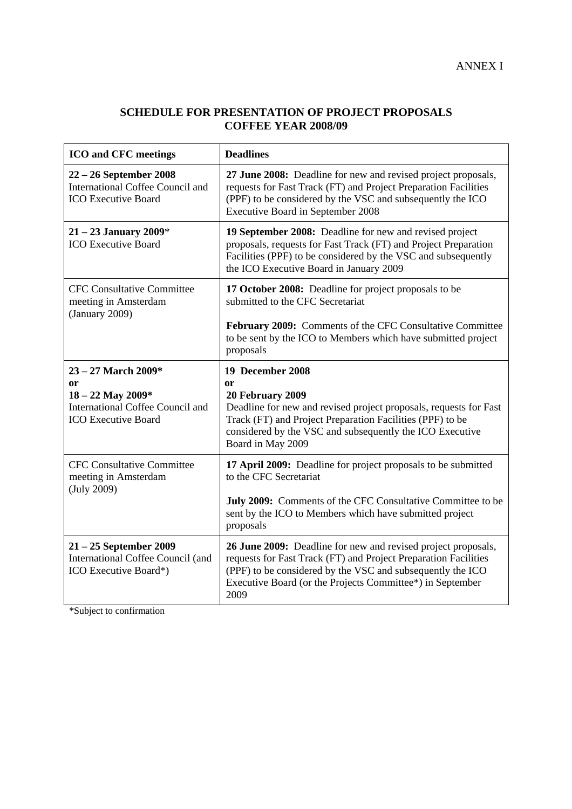## **SCHEDULE FOR PRESENTATION OF PROJECT PROPOSALS COFFEE YEAR 2008/09**

| <b>ICO</b> and CFC meetings                                                                             | <b>Deadlines</b>                                                                                                                                                                                                                                                    |
|---------------------------------------------------------------------------------------------------------|---------------------------------------------------------------------------------------------------------------------------------------------------------------------------------------------------------------------------------------------------------------------|
| $22 - 26$ September 2008<br><b>International Coffee Council and</b><br><b>ICO Executive Board</b>       | 27 June 2008: Deadline for new and revised project proposals,<br>requests for Fast Track (FT) and Project Preparation Facilities<br>(PPF) to be considered by the VSC and subsequently the ICO<br>Executive Board in September 2008                                 |
| $21 - 23$ January 2009*<br><b>ICO</b> Executive Board                                                   | 19 September 2008: Deadline for new and revised project<br>proposals, requests for Fast Track (FT) and Project Preparation<br>Facilities (PPF) to be considered by the VSC and subsequently<br>the ICO Executive Board in January 2009                              |
| <b>CFC Consultative Committee</b><br>meeting in Amsterdam<br>(January 2009)                             | 17 October 2008: Deadline for project proposals to be<br>submitted to the CFC Secretariat                                                                                                                                                                           |
|                                                                                                         | February 2009: Comments of the CFC Consultative Committee<br>to be sent by the ICO to Members which have submitted project<br>proposals                                                                                                                             |
| 23 - 27 March 2009*                                                                                     | 19 December 2008                                                                                                                                                                                                                                                    |
| <b>or</b><br>18 - 22 May 2009*<br><b>International Coffee Council and</b><br><b>ICO Executive Board</b> | <sub>or</sub><br>20 February 2009<br>Deadline for new and revised project proposals, requests for Fast<br>Track (FT) and Project Preparation Facilities (PPF) to be<br>considered by the VSC and subsequently the ICO Executive<br>Board in May 2009                |
| <b>CFC Consultative Committee</b><br>meeting in Amsterdam<br>(July 2009)                                | 17 April 2009: Deadline for project proposals to be submitted<br>to the CFC Secretariat                                                                                                                                                                             |
|                                                                                                         | July 2009: Comments of the CFC Consultative Committee to be<br>sent by the ICO to Members which have submitted project<br>proposals                                                                                                                                 |
| 21 - 25 September 2009<br>International Coffee Council (and<br>ICO Executive Board*)                    | 26 June 2009: Deadline for new and revised project proposals,<br>requests for Fast Track (FT) and Project Preparation Facilities<br>(PPF) to be considered by the VSC and subsequently the ICO<br>Executive Board (or the Projects Committee*) in September<br>2009 |

\*Subject to confirmation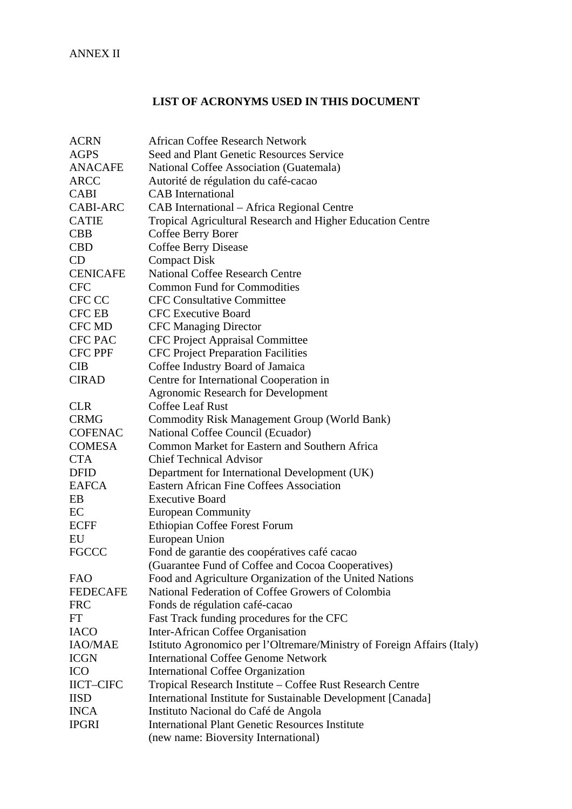# **LIST OF ACRONYMS USED IN THIS DOCUMENT**

| <b>ACRN</b>      | <b>African Coffee Research Network</b>                                  |
|------------------|-------------------------------------------------------------------------|
| <b>AGPS</b>      | Seed and Plant Genetic Resources Service                                |
| <b>ANACAFE</b>   | National Coffee Association (Guatemala)                                 |
| <b>ARCC</b>      | Autorité de régulation du café-cacao                                    |
| <b>CABI</b>      | <b>CAB</b> International                                                |
| <b>CABI-ARC</b>  | CAB International - Africa Regional Centre                              |
| <b>CATIE</b>     | Tropical Agricultural Research and Higher Education Centre              |
| <b>CBB</b>       | Coffee Berry Borer                                                      |
| <b>CBD</b>       | <b>Coffee Berry Disease</b>                                             |
| CD               | <b>Compact Disk</b>                                                     |
| <b>CENICAFE</b>  | <b>National Coffee Research Centre</b>                                  |
| <b>CFC</b>       | <b>Common Fund for Commodities</b>                                      |
| CFC CC           | <b>CFC Consultative Committee</b>                                       |
| <b>CFC EB</b>    | <b>CFC</b> Executive Board                                              |
| <b>CFC MD</b>    | <b>CFC Managing Director</b>                                            |
| CFC PAC          | CFC Project Appraisal Committee                                         |
| <b>CFC PPF</b>   | <b>CFC Project Preparation Facilities</b>                               |
| <b>CIB</b>       | Coffee Industry Board of Jamaica                                        |
| <b>CIRAD</b>     | Centre for International Cooperation in                                 |
|                  | <b>Agronomic Research for Development</b>                               |
| <b>CLR</b>       | <b>Coffee Leaf Rust</b>                                                 |
| <b>CRMG</b>      | <b>Commodity Risk Management Group (World Bank)</b>                     |
| <b>COFENAC</b>   | National Coffee Council (Ecuador)                                       |
| <b>COMESA</b>    | Common Market for Eastern and Southern Africa                           |
| <b>CTA</b>       | <b>Chief Technical Advisor</b>                                          |
| <b>DFID</b>      | Department for International Development (UK)                           |
| <b>EAFCA</b>     | <b>Eastern African Fine Coffees Association</b>                         |
| EB               | <b>Executive Board</b>                                                  |
| EC               | <b>European Community</b>                                               |
| <b>ECFF</b>      | Ethiopian Coffee Forest Forum                                           |
| EU               | European Union                                                          |
| <b>FGCCC</b>     | Fond de garantie des coopératives café cacao                            |
|                  | (Guarantee Fund of Coffee and Cocoa Cooperatives)                       |
| <b>FAO</b>       | Food and Agriculture Organization of the United Nations                 |
| <b>FEDECAFE</b>  | National Federation of Coffee Growers of Colombia                       |
| <b>FRC</b>       | Fonds de régulation café-cacao                                          |
| FT               | Fast Track funding procedures for the CFC                               |
| <b>IACO</b>      | Inter-African Coffee Organisation                                       |
| <b>IAO/MAE</b>   | Istituto Agronomico per l'Oltremare/Ministry of Foreign Affairs (Italy) |
| <b>ICGN</b>      | <b>International Coffee Genome Network</b>                              |
| <b>ICO</b>       | <b>International Coffee Organization</b>                                |
| <b>IICT-CIFC</b> | Tropical Research Institute - Coffee Rust Research Centre               |
| <b>IISD</b>      | International Institute for Sustainable Development [Canada]            |
| <b>INCA</b>      | Instituto Nacional do Café de Angola                                    |
| <b>IPGRI</b>     | <b>International Plant Genetic Resources Institute</b>                  |
|                  | (new name: Bioversity International)                                    |